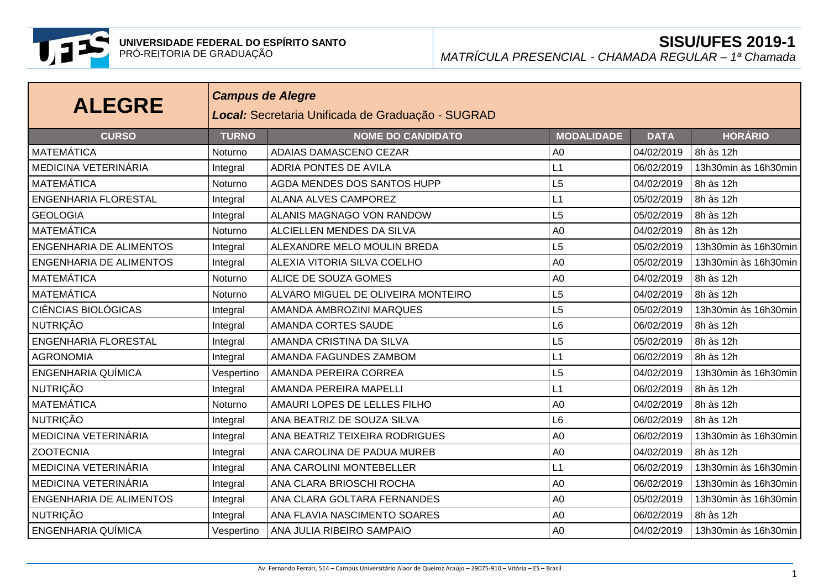

| <b>ALEGRE</b>                  |              | <b>Campus de Alegre</b><br>Local: Secretaria Unificada de Graduação - SUGRAD |                   |             |                      |  |  |  |  |
|--------------------------------|--------------|------------------------------------------------------------------------------|-------------------|-------------|----------------------|--|--|--|--|
| <b>CURSO</b>                   | <b>TURNO</b> | <b>NOME DO CANDIDATO</b>                                                     | <b>MODALIDADE</b> | <b>DATA</b> | <b>HORÁRIO</b>       |  |  |  |  |
| <b>MATEMÁTICA</b>              | Noturno      | ADAIAS DAMASCENO CEZAR                                                       | A <sub>0</sub>    | 04/02/2019  | 8h às 12h            |  |  |  |  |
| MEDICINA VETERINÁRIA           | Integral     | <b>ADRIA PONTES DE AVILA</b>                                                 | L1                | 06/02/2019  | 13h30min às 16h30min |  |  |  |  |
| <b>MATEMÁTICA</b>              | Noturno      | <b>AGDA MENDES DOS SANTOS HUPP</b>                                           | L5                | 04/02/2019  | 8h às 12h            |  |  |  |  |
| <b>ENGENHARIA FLORESTAL</b>    | Integral     | ALANA ALVES CAMPOREZ                                                         | L1                | 05/02/2019  | 8h às 12h            |  |  |  |  |
| <b>GEOLOGIA</b>                | Integral     | ALANIS MAGNAGO VON RANDOW                                                    | L5                | 05/02/2019  | 8h às 12h            |  |  |  |  |
| <b>MATEMÁTICA</b>              | Noturno      | ALCIELLEN MENDES DA SILVA                                                    | A <sub>0</sub>    | 04/02/2019  | 8h às 12h            |  |  |  |  |
| <b>ENGENHARIA DE ALIMENTOS</b> | Integral     | ALEXANDRE MELO MOULIN BREDA                                                  | L5                | 05/02/2019  | 13h30min às 16h30min |  |  |  |  |
| <b>ENGENHARIA DE ALIMENTOS</b> | Integral     | ALEXIA VITORIA SILVA COELHO                                                  | A <sub>0</sub>    | 05/02/2019  | 13h30min às 16h30min |  |  |  |  |
| <b>MATEMÁTICA</b>              | Noturno      | ALICE DE SOUZA GOMES                                                         | A <sub>0</sub>    | 04/02/2019  | 8h às 12h            |  |  |  |  |
| <b>MATEMÁTICA</b>              | Noturno      | ALVARO MIGUEL DE OLIVEIRA MONTEIRO                                           | L5                | 04/02/2019  | 8h às 12h            |  |  |  |  |
| <b>CIÊNCIAS BIOLÓGICAS</b>     | Integral     | AMANDA AMBROZINI MARQUES                                                     | L5                | 05/02/2019  | 13h30min às 16h30min |  |  |  |  |
| <b>NUTRIÇÃO</b>                | Integral     | AMANDA CORTES SAUDE                                                          | L <sub>6</sub>    | 06/02/2019  | 8h às 12h            |  |  |  |  |
| <b>ENGENHARIA FLORESTAL</b>    | Integral     | AMANDA CRISTINA DA SILVA                                                     | L5                | 05/02/2019  | 8h às 12h            |  |  |  |  |
| <b>AGRONOMIA</b>               | Integral     | AMANDA FAGUNDES ZAMBOM                                                       | L1                | 06/02/2019  | 8h às 12h            |  |  |  |  |
| ENGENHARIA QUÍMICA             | Vespertino   | AMANDA PEREIRA CORREA                                                        | L5                | 04/02/2019  | 13h30min às 16h30min |  |  |  |  |
| <b>NUTRIÇÃO</b>                | Integral     | AMANDA PEREIRA MAPELLI                                                       | L1                | 06/02/2019  | 8h às 12h            |  |  |  |  |
| <b>MATEMÁTICA</b>              | Noturno      | AMAURI LOPES DE LELLES FILHO                                                 | A <sub>0</sub>    | 04/02/2019  | 8h às 12h            |  |  |  |  |
| <b>NUTRIÇÃO</b>                | Integral     | ANA BEATRIZ DE SOUZA SILVA                                                   | L <sub>6</sub>    | 06/02/2019  | 8h às 12h            |  |  |  |  |
| <b>MEDICINA VETERINÁRIA</b>    | Integral     | ANA BEATRIZ TEIXEIRA RODRIGUES                                               | A <sub>0</sub>    | 06/02/2019  | 13h30min às 16h30min |  |  |  |  |
| <b>ZOOTECNIA</b>               | Integral     | ANA CAROLINA DE PADUA MUREB                                                  | A <sub>0</sub>    | 04/02/2019  | 8h às 12h            |  |  |  |  |
| MEDICINA VETERINÁRIA           | Integral     | ANA CAROLINI MONTEBELLER                                                     | L1                | 06/02/2019  | 13h30min às 16h30min |  |  |  |  |
| MEDICINA VETERINÁRIA           | Integral     | ANA CLARA BRIOSCHI ROCHA                                                     | A <sub>0</sub>    | 06/02/2019  | 13h30min às 16h30min |  |  |  |  |
| <b>ENGENHARIA DE ALIMENTOS</b> | Integral     | ANA CLARA GOLTARA FERNANDES                                                  | A <sub>0</sub>    | 05/02/2019  | 13h30min às 16h30min |  |  |  |  |
| <b>NUTRIÇÃO</b>                | Integral     | ANA FLAVIA NASCIMENTO SOARES                                                 | A <sub>0</sub>    | 06/02/2019  | 8h às 12h            |  |  |  |  |
| <b>ENGENHARIA QUÍMICA</b>      | Vespertino   | ANA JULIA RIBEIRO SAMPAIO                                                    | A <sub>0</sub>    | 04/02/2019  | 13h30min às 16h30min |  |  |  |  |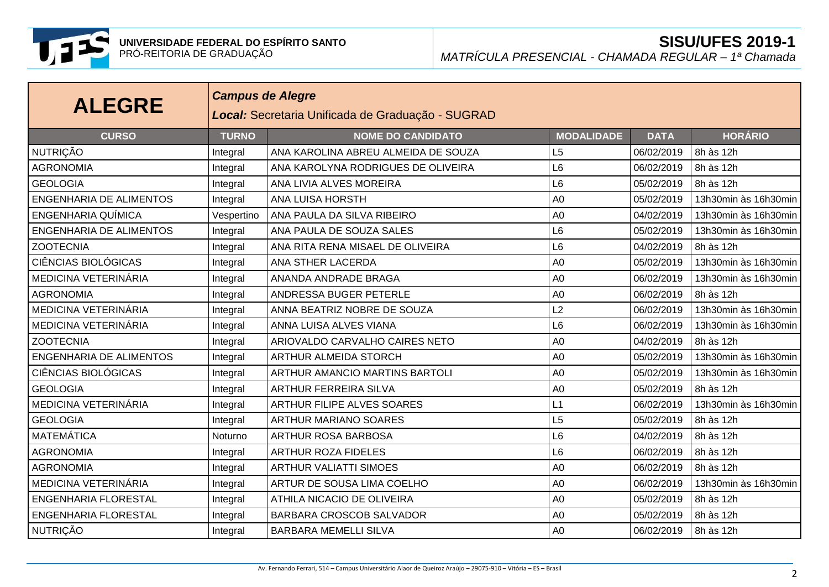

| <b>ALEGRE</b>                  | <b>Campus de Alegre</b><br>Local: Secretaria Unificada de Graduação - SUGRAD |                                     |                   |             |                      |  |  |  |
|--------------------------------|------------------------------------------------------------------------------|-------------------------------------|-------------------|-------------|----------------------|--|--|--|
| <b>CURSO</b>                   | <b>TURNO</b>                                                                 | <b>NOME DO CANDIDATO</b>            | <b>MODALIDADE</b> | <b>DATA</b> | <b>HORÁRIO</b>       |  |  |  |
| <b>NUTRIÇÃO</b>                | Integral                                                                     | ANA KAROLINA ABREU ALMEIDA DE SOUZA | L5                | 06/02/2019  | 8h às 12h            |  |  |  |
| <b>AGRONOMIA</b>               | Integral                                                                     | ANA KAROLYNA RODRIGUES DE OLIVEIRA  | L6                | 06/02/2019  | 8h às 12h            |  |  |  |
| <b>GEOLOGIA</b>                | Integral                                                                     | ANA LIVIA ALVES MOREIRA             | L <sub>6</sub>    | 05/02/2019  | 8h às 12h            |  |  |  |
| <b>ENGENHARIA DE ALIMENTOS</b> | Integral                                                                     | ANA LUISA HORSTH                    | A <sub>0</sub>    | 05/02/2019  | 13h30min às 16h30min |  |  |  |
| <b>ENGENHARIA QUÍMICA</b>      | Vespertino                                                                   | ANA PAULA DA SILVA RIBEIRO          | A <sub>0</sub>    | 04/02/2019  | 13h30min às 16h30min |  |  |  |
| <b>ENGENHARIA DE ALIMENTOS</b> | Integral                                                                     | ANA PAULA DE SOUZA SALES            | L <sub>6</sub>    | 05/02/2019  | 13h30min às 16h30min |  |  |  |
| <b>ZOOTECNIA</b>               | Integral                                                                     | ANA RITA RENA MISAEL DE OLIVEIRA    | L <sub>6</sub>    | 04/02/2019  | 8h às 12h            |  |  |  |
| <b>CIÊNCIAS BIOLÓGICAS</b>     | Integral                                                                     | ANA STHER LACERDA                   | A <sub>0</sub>    | 05/02/2019  | 13h30min às 16h30min |  |  |  |
| MEDICINA VETERINÁRIA           | Integral                                                                     | ANANDA ANDRADE BRAGA                | A <sub>0</sub>    | 06/02/2019  | 13h30min às 16h30min |  |  |  |
| <b>AGRONOMIA</b>               | Integral                                                                     | ANDRESSA BUGER PETERLE              | A <sub>0</sub>    | 06/02/2019  | 8h às 12h            |  |  |  |
| MEDICINA VETERINÁRIA           | Integral                                                                     | ANNA BEATRIZ NOBRE DE SOUZA         | L <sub>2</sub>    | 06/02/2019  | 13h30min às 16h30min |  |  |  |
| MEDICINA VETERINÁRIA           | Integral                                                                     | ANNA LUISA ALVES VIANA              | L <sub>6</sub>    | 06/02/2019  | 13h30min às 16h30min |  |  |  |
| <b>ZOOTECNIA</b>               | Integral                                                                     | ARIOVALDO CARVALHO CAIRES NETO      | A <sub>0</sub>    | 04/02/2019  | 8h às 12h            |  |  |  |
| <b>ENGENHARIA DE ALIMENTOS</b> | Integral                                                                     | ARTHUR ALMEIDA STORCH               | A <sub>0</sub>    | 05/02/2019  | 13h30min às 16h30min |  |  |  |
| <b>CIÊNCIAS BIOLÓGICAS</b>     | Integral                                                                     | ARTHUR AMANCIO MARTINS BARTOLI      | A <sub>0</sub>    | 05/02/2019  | 13h30min às 16h30min |  |  |  |
| <b>GEOLOGIA</b>                | Integral                                                                     | <b>ARTHUR FERREIRA SILVA</b>        | A <sub>0</sub>    | 05/02/2019  | 8h às 12h            |  |  |  |
| MEDICINA VETERINÁRIA           | Integral                                                                     | <b>ARTHUR FILIPE ALVES SOARES</b>   | L1                | 06/02/2019  | 13h30min às 16h30min |  |  |  |
| <b>GEOLOGIA</b>                | Integral                                                                     | <b>ARTHUR MARIANO SOARES</b>        | L5                | 05/02/2019  | 8h às 12h            |  |  |  |
| <b>MATEMÁTICA</b>              | Noturno                                                                      | ARTHUR ROSA BARBOSA                 | L <sub>6</sub>    | 04/02/2019  | 8h às 12h            |  |  |  |
| <b>AGRONOMIA</b>               | Integral                                                                     | <b>ARTHUR ROZA FIDELES</b>          | L <sub>6</sub>    | 06/02/2019  | 8h às 12h            |  |  |  |
| <b>AGRONOMIA</b>               | Integral                                                                     | <b>ARTHUR VALIATTI SIMOES</b>       | A <sub>0</sub>    | 06/02/2019  | 8h às 12h            |  |  |  |
| MEDICINA VETERINÁRIA           | Integral                                                                     | ARTUR DE SOUSA LIMA COELHO          | A <sub>0</sub>    | 06/02/2019  | 13h30min às 16h30min |  |  |  |
| <b>ENGENHARIA FLORESTAL</b>    | Integral                                                                     | ATHILA NICACIO DE OLIVEIRA          | A <sub>0</sub>    | 05/02/2019  | 8h às 12h            |  |  |  |
| <b>ENGENHARIA FLORESTAL</b>    | Integral                                                                     | BARBARA CROSCOB SALVADOR            | A <sub>0</sub>    | 05/02/2019  | 8h às 12h            |  |  |  |
| <b>NUTRIÇÃO</b>                | Integral                                                                     | <b>BARBARA MEMELLI SILVA</b>        | A <sub>0</sub>    | 06/02/2019  | 8h às 12h            |  |  |  |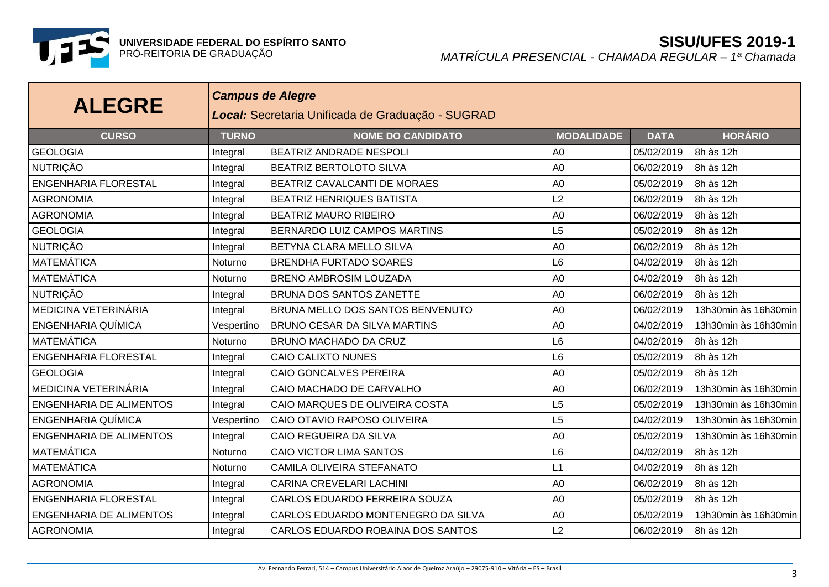

| <b>ALEGRE</b>                  |              | <b>Campus de Alegre</b><br>Local: Secretaria Unificada de Graduação - SUGRAD |                   |             |                      |  |  |  |  |
|--------------------------------|--------------|------------------------------------------------------------------------------|-------------------|-------------|----------------------|--|--|--|--|
| <b>CURSO</b>                   | <b>TURNO</b> | <b>NOME DO CANDIDATO</b>                                                     | <b>MODALIDADE</b> | <b>DATA</b> | <b>HORÁRIO</b>       |  |  |  |  |
| <b>GEOLOGIA</b>                | Integral     | BEATRIZ ANDRADE NESPOLI                                                      | A <sub>0</sub>    | 05/02/2019  | 8h às 12h            |  |  |  |  |
| <b>NUTRIÇÃO</b>                | Integral     | BEATRIZ BERTOLOTO SILVA                                                      | A <sub>0</sub>    | 06/02/2019  | 8h às 12h            |  |  |  |  |
| <b>ENGENHARIA FLORESTAL</b>    | Integral     | BEATRIZ CAVALCANTI DE MORAES                                                 | A <sub>0</sub>    | 05/02/2019  | 8h às 12h            |  |  |  |  |
| <b>AGRONOMIA</b>               | Integral     | <b>BEATRIZ HENRIQUES BATISTA</b>                                             | L2                | 06/02/2019  | 8h às 12h            |  |  |  |  |
| <b>AGRONOMIA</b>               | Integral     | <b>BEATRIZ MAURO RIBEIRO</b>                                                 | A <sub>0</sub>    | 06/02/2019  | 8h às 12h            |  |  |  |  |
| <b>GEOLOGIA</b>                | Integral     | BERNARDO LUIZ CAMPOS MARTINS                                                 | L <sub>5</sub>    | 05/02/2019  | 8h às 12h            |  |  |  |  |
| <b>NUTRIÇÃO</b>                | Integral     | BETYNA CLARA MELLO SILVA                                                     | A <sub>0</sub>    | 06/02/2019  | 8h às 12h            |  |  |  |  |
| <b>MATEMÁTICA</b>              | Noturno      | <b>BRENDHA FURTADO SOARES</b>                                                | L <sub>6</sub>    | 04/02/2019  | 8h às 12h            |  |  |  |  |
| <b>MATEMÁTICA</b>              | Noturno      | <b>BRENO AMBROSIM LOUZADA</b>                                                | A <sub>0</sub>    | 04/02/2019  | 8h às 12h            |  |  |  |  |
| <b>NUTRIÇÃO</b>                | Integral     | BRUNA DOS SANTOS ZANETTE                                                     | A <sub>0</sub>    | 06/02/2019  | 8h às 12h            |  |  |  |  |
| MEDICINA VETERINÁRIA           | Integral     | BRUNA MELLO DOS SANTOS BENVENUTO                                             | A <sub>0</sub>    | 06/02/2019  | 13h30min às 16h30min |  |  |  |  |
| <b>ENGENHARIA QUÍMICA</b>      | Vespertino   | BRUNO CESAR DA SILVA MARTINS                                                 | A <sub>0</sub>    | 04/02/2019  | 13h30min às 16h30min |  |  |  |  |
| <b>MATEMÁTICA</b>              | Noturno      | BRUNO MACHADO DA CRUZ                                                        | L <sub>6</sub>    | 04/02/2019  | 8h às 12h            |  |  |  |  |
| <b>ENGENHARIA FLORESTAL</b>    | Integral     | <b>CAIO CALIXTO NUNES</b>                                                    | L <sub>6</sub>    | 05/02/2019  | 8h às 12h            |  |  |  |  |
| <b>GEOLOGIA</b>                | Integral     | <b>CAIO GONCALVES PEREIRA</b>                                                | A <sub>0</sub>    | 05/02/2019  | 8h às 12h            |  |  |  |  |
| MEDICINA VETERINÁRIA           | Integral     | CAIO MACHADO DE CARVALHO                                                     | A <sub>0</sub>    | 06/02/2019  | 13h30min às 16h30min |  |  |  |  |
| <b>ENGENHARIA DE ALIMENTOS</b> | Integral     | CAIO MARQUES DE OLIVEIRA COSTA                                               | L5                | 05/02/2019  | 13h30min às 16h30min |  |  |  |  |
| ENGENHARIA QUÍMICA             | Vespertino   | CAIO OTAVIO RAPOSO OLIVEIRA                                                  | L5                | 04/02/2019  | 13h30min às 16h30min |  |  |  |  |
| <b>ENGENHARIA DE ALIMENTOS</b> | Integral     | CAIO REGUEIRA DA SILVA                                                       | A <sub>0</sub>    | 05/02/2019  | 13h30min às 16h30min |  |  |  |  |
| <b>MATEMÁTICA</b>              | Noturno      | CAIO VICTOR LIMA SANTOS                                                      | L <sub>6</sub>    | 04/02/2019  | 8h às 12h            |  |  |  |  |
| <b>MATEMÁTICA</b>              | Noturno      | CAMILA OLIVEIRA STEFANATO                                                    | L1                | 04/02/2019  | 8h às 12h            |  |  |  |  |
| <b>AGRONOMIA</b>               | Integral     | CARINA CREVELARI LACHINI                                                     | A <sub>0</sub>    | 06/02/2019  | 8h às 12h            |  |  |  |  |
| <b>ENGENHARIA FLORESTAL</b>    | Integral     | CARLOS EDUARDO FERREIRA SOUZA                                                | A <sub>0</sub>    | 05/02/2019  | 8h às 12h            |  |  |  |  |
| <b>ENGENHARIA DE ALIMENTOS</b> | Integral     | CARLOS EDUARDO MONTENEGRO DA SILVA                                           | A <sub>0</sub>    | 05/02/2019  | 13h30min às 16h30min |  |  |  |  |
| <b>AGRONOMIA</b>               | Integral     | CARLOS EDUARDO ROBAINA DOS SANTOS                                            | L2                | 06/02/2019  | 8h às 12h            |  |  |  |  |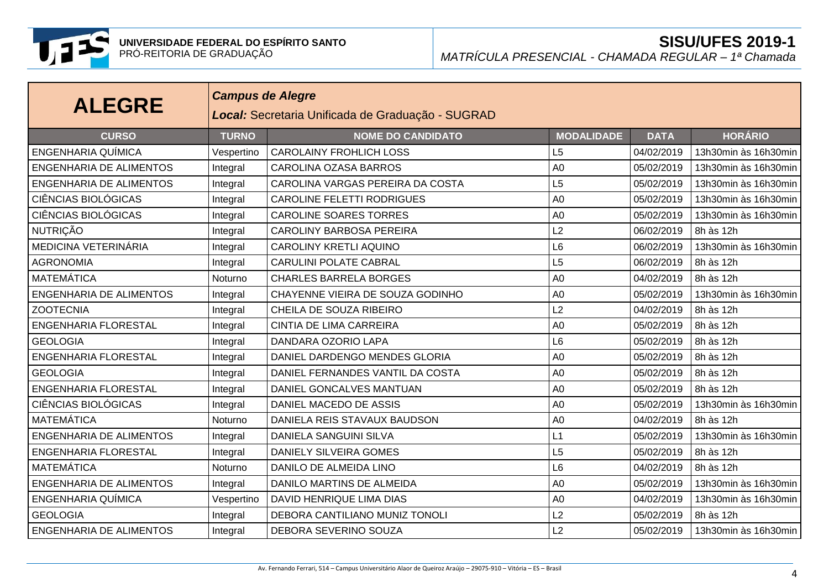

| <b>ALEGRE</b>                  |              | <b>Campus de Alegre</b><br>Local: Secretaria Unificada de Graduação - SUGRAD |                   |             |                      |  |  |  |  |
|--------------------------------|--------------|------------------------------------------------------------------------------|-------------------|-------------|----------------------|--|--|--|--|
| <b>CURSO</b>                   | <b>TURNO</b> | <b>NOME DO CANDIDATO</b>                                                     | <b>MODALIDADE</b> | <b>DATA</b> | <b>HORÁRIO</b>       |  |  |  |  |
| <b>ENGENHARIA QUÍMICA</b>      | Vespertino   | <b>CAROLAINY FROHLICH LOSS</b>                                               | L <sub>5</sub>    | 04/02/2019  | 13h30min às 16h30min |  |  |  |  |
| <b>ENGENHARIA DE ALIMENTOS</b> | Integral     | <b>CAROLINA OZASA BARROS</b>                                                 | A <sub>0</sub>    | 05/02/2019  | 13h30min às 16h30min |  |  |  |  |
| <b>ENGENHARIA DE ALIMENTOS</b> | Integral     | CAROLINA VARGAS PEREIRA DA COSTA                                             | L <sub>5</sub>    | 05/02/2019  | 13h30min às 16h30min |  |  |  |  |
| <b>CIÊNCIAS BIOLÓGICAS</b>     | Integral     | <b>CAROLINE FELETTI RODRIGUES</b>                                            | A <sub>0</sub>    | 05/02/2019  | 13h30min às 16h30min |  |  |  |  |
| <b>CIÊNCIAS BIOLÓGICAS</b>     | Integral     | <b>CAROLINE SOARES TORRES</b>                                                | A <sub>0</sub>    | 05/02/2019  | 13h30min às 16h30min |  |  |  |  |
| <b>NUTRIÇÃO</b>                | Integral     | <b>CAROLINY BARBOSA PEREIRA</b>                                              | L2                | 06/02/2019  | 8h às 12h            |  |  |  |  |
| MEDICINA VETERINÁRIA           | Integral     | <b>CAROLINY KRETLI AQUINO</b>                                                | L <sub>6</sub>    | 06/02/2019  | 13h30min às 16h30min |  |  |  |  |
| <b>AGRONOMIA</b>               | Integral     | <b>CARULINI POLATE CABRAL</b>                                                | L5                | 06/02/2019  | 8h às 12h            |  |  |  |  |
| MATEMÁTICA                     | Noturno      | <b>CHARLES BARRELA BORGES</b>                                                | A <sub>0</sub>    | 04/02/2019  | 8h às 12h            |  |  |  |  |
| <b>ENGENHARIA DE ALIMENTOS</b> | Integral     | CHAYENNE VIEIRA DE SOUZA GODINHO                                             | A <sub>0</sub>    | 05/02/2019  | 13h30min às 16h30min |  |  |  |  |
| <b>ZOOTECNIA</b>               | Integral     | CHEILA DE SOUZA RIBEIRO                                                      | L2                | 04/02/2019  | 8h às 12h            |  |  |  |  |
| <b>ENGENHARIA FLORESTAL</b>    | Integral     | <b>CINTIA DE LIMA CARREIRA</b>                                               | A <sub>0</sub>    | 05/02/2019  | 8h às 12h            |  |  |  |  |
| <b>GEOLOGIA</b>                | Integral     | DANDARA OZORIO LAPA                                                          | L <sub>6</sub>    | 05/02/2019  | 8h às 12h            |  |  |  |  |
| <b>ENGENHARIA FLORESTAL</b>    | Integral     | DANIEL DARDENGO MENDES GLORIA                                                | A <sub>0</sub>    | 05/02/2019  | 8h às 12h            |  |  |  |  |
| <b>GEOLOGIA</b>                | Integral     | DANIEL FERNANDES VANTIL DA COSTA                                             | A <sub>0</sub>    | 05/02/2019  | 8h às 12h            |  |  |  |  |
| <b>ENGENHARIA FLORESTAL</b>    | Integral     | DANIEL GONCALVES MANTUAN                                                     | A <sub>0</sub>    | 05/02/2019  | 8h às 12h            |  |  |  |  |
| <b>CIÊNCIAS BIOLÓGICAS</b>     | Integral     | DANIEL MACEDO DE ASSIS                                                       | A <sub>0</sub>    | 05/02/2019  | 13h30min às 16h30min |  |  |  |  |
| <b>MATEMÁTICA</b>              | Noturno      | DANIELA REIS STAVAUX BAUDSON                                                 | A <sub>0</sub>    | 04/02/2019  | 8h às 12h            |  |  |  |  |
| <b>ENGENHARIA DE ALIMENTOS</b> | Integral     | <b>DANIELA SANGUINI SILVA</b>                                                | L1                | 05/02/2019  | 13h30min às 16h30min |  |  |  |  |
| <b>ENGENHARIA FLORESTAL</b>    | Integral     | <b>DANIELY SILVEIRA GOMES</b>                                                | L5                | 05/02/2019  | 8h às 12h            |  |  |  |  |
| MATEMÁTICA                     | Noturno      | DANILO DE ALMEIDA LINO                                                       | L <sub>6</sub>    | 04/02/2019  | 8h às 12h            |  |  |  |  |
| <b>ENGENHARIA DE ALIMENTOS</b> | Integral     | DANILO MARTINS DE ALMEIDA                                                    | A <sub>0</sub>    | 05/02/2019  | 13h30min às 16h30min |  |  |  |  |
| <b>ENGENHARIA QUÍMICA</b>      | Vespertino   | DAVID HENRIQUE LIMA DIAS                                                     | A <sub>0</sub>    | 04/02/2019  | 13h30min às 16h30min |  |  |  |  |
| <b>GEOLOGIA</b>                | Integral     | <b>DEBORA CANTILIANO MUNIZ TONOLI</b>                                        | L2                | 05/02/2019  | 8h às 12h            |  |  |  |  |
| <b>ENGENHARIA DE ALIMENTOS</b> | Integral     | DEBORA SEVERINO SOUZA                                                        | L2                | 05/02/2019  | 13h30min às 16h30min |  |  |  |  |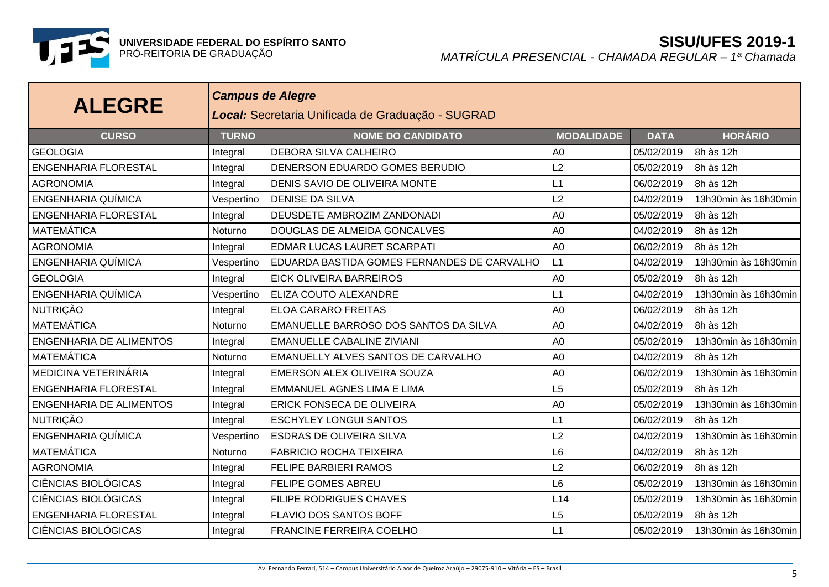

| <b>ALEGRE</b>                  |              | <b>Campus de Alegre</b><br>Local: Secretaria Unificada de Graduação - SUGRAD |                   |             |                      |  |  |  |  |
|--------------------------------|--------------|------------------------------------------------------------------------------|-------------------|-------------|----------------------|--|--|--|--|
| <b>CURSO</b>                   | <b>TURNO</b> | <b>NOME DO CANDIDATO</b>                                                     | <b>MODALIDADE</b> | <b>DATA</b> | <b>HORÁRIO</b>       |  |  |  |  |
| <b>GEOLOGIA</b>                | Integral     | DEBORA SILVA CALHEIRO                                                        | A <sub>0</sub>    | 05/02/2019  | 8h às 12h            |  |  |  |  |
| <b>ENGENHARIA FLORESTAL</b>    | Integral     | DENERSON EDUARDO GOMES BERUDIO                                               | L2                | 05/02/2019  | 8h às 12h            |  |  |  |  |
| <b>AGRONOMIA</b>               | Integral     | DENIS SAVIO DE OLIVEIRA MONTE                                                | L1                | 06/02/2019  | 8h às 12h            |  |  |  |  |
| ENGENHARIA QUÍMICA             | Vespertino   | <b>DENISE DA SILVA</b>                                                       | L2                | 04/02/2019  | 13h30min às 16h30min |  |  |  |  |
| <b>ENGENHARIA FLORESTAL</b>    | Integral     | DEUSDETE AMBROZIM ZANDONADI                                                  | A <sub>0</sub>    | 05/02/2019  | 8h às 12h            |  |  |  |  |
| <b>MATEMÁTICA</b>              | Noturno      | DOUGLAS DE ALMEIDA GONCALVES                                                 | A <sub>0</sub>    | 04/02/2019  | 8h às 12h            |  |  |  |  |
| <b>AGRONOMIA</b>               | Integral     | EDMAR LUCAS LAURET SCARPATI                                                  | A <sub>0</sub>    | 06/02/2019  | 8h às 12h            |  |  |  |  |
| <b>ENGENHARIA QUÍMICA</b>      | Vespertino   | EDUARDA BASTIDA GOMES FERNANDES DE CARVALHO                                  | L1                | 04/02/2019  | 13h30min às 16h30min |  |  |  |  |
| <b>GEOLOGIA</b>                | Integral     | <b>EICK OLIVEIRA BARREIROS</b>                                               | A <sub>0</sub>    | 05/02/2019  | 8h às 12h            |  |  |  |  |
| <b>ENGENHARIA QUÍMICA</b>      | Vespertino   | ELIZA COUTO ALEXANDRE                                                        | L1                | 04/02/2019  | 13h30min às 16h30min |  |  |  |  |
| <b>NUTRIÇÃO</b>                | Integral     | <b>ELOA CARARO FREITAS</b>                                                   | A <sub>0</sub>    | 06/02/2019  | 8h às 12h            |  |  |  |  |
| <b>MATEMÁTICA</b>              | Noturno      | EMANUELLE BARROSO DOS SANTOS DA SILVA                                        | A <sub>0</sub>    | 04/02/2019  | 8h às 12h            |  |  |  |  |
| <b>ENGENHARIA DE ALIMENTOS</b> | Integral     | <b>EMANUELLE CABALINE ZIVIANI</b>                                            | A <sub>0</sub>    | 05/02/2019  | 13h30min às 16h30min |  |  |  |  |
| MATEMÁTICA                     | Noturno      | <b>EMANUELLY ALVES SANTOS DE CARVALHO</b>                                    | A <sub>0</sub>    | 04/02/2019  | 8h às 12h            |  |  |  |  |
| MEDICINA VETERINÁRIA           | Integral     | EMERSON ALEX OLIVEIRA SOUZA                                                  | A <sub>0</sub>    | 06/02/2019  | 13h30min às 16h30min |  |  |  |  |
| <b>ENGENHARIA FLORESTAL</b>    | Integral     | <b>EMMANUEL AGNES LIMA E LIMA</b>                                            | L5                | 05/02/2019  | 8h às 12h            |  |  |  |  |
| <b>ENGENHARIA DE ALIMENTOS</b> | Integral     | ERICK FONSECA DE OLIVEIRA                                                    | A <sub>0</sub>    | 05/02/2019  | 13h30min às 16h30min |  |  |  |  |
| <b>NUTRIÇÃO</b>                | Integral     | <b>ESCHYLEY LONGUI SANTOS</b>                                                | L1                | 06/02/2019  | 8h às 12h            |  |  |  |  |
| <b>ENGENHARIA QUÍMICA</b>      | Vespertino   | <b>ESDRAS DE OLIVEIRA SILVA</b>                                              | L2                | 04/02/2019  | 13h30min às 16h30min |  |  |  |  |
| <b>MATEMÁTICA</b>              | Noturno      | <b>FABRICIO ROCHA TEIXEIRA</b>                                               | L <sub>6</sub>    | 04/02/2019  | 8h às 12h            |  |  |  |  |
| <b>AGRONOMIA</b>               | Integral     | <b>FELIPE BARBIERI RAMOS</b>                                                 | L2                | 06/02/2019  | 8h às 12h            |  |  |  |  |
| <b>CIÊNCIAS BIOLÓGICAS</b>     | Integral     | <b>FELIPE GOMES ABREU</b>                                                    | L <sub>6</sub>    | 05/02/2019  | 13h30min às 16h30min |  |  |  |  |
| <b>CIÊNCIAS BIOLÓGICAS</b>     | Integral     | FILIPE RODRIGUES CHAVES                                                      | L14               | 05/02/2019  | 13h30min às 16h30min |  |  |  |  |
| <b>ENGENHARIA FLORESTAL</b>    | Integral     | FLAVIO DOS SANTOS BOFF                                                       | L <sub>5</sub>    | 05/02/2019  | 8h às 12h            |  |  |  |  |
| <b>CIÊNCIAS BIOLÓGICAS</b>     | Integral     | <b>FRANCINE FERREIRA COELHO</b>                                              | L1                | 05/02/2019  | 13h30min às 16h30min |  |  |  |  |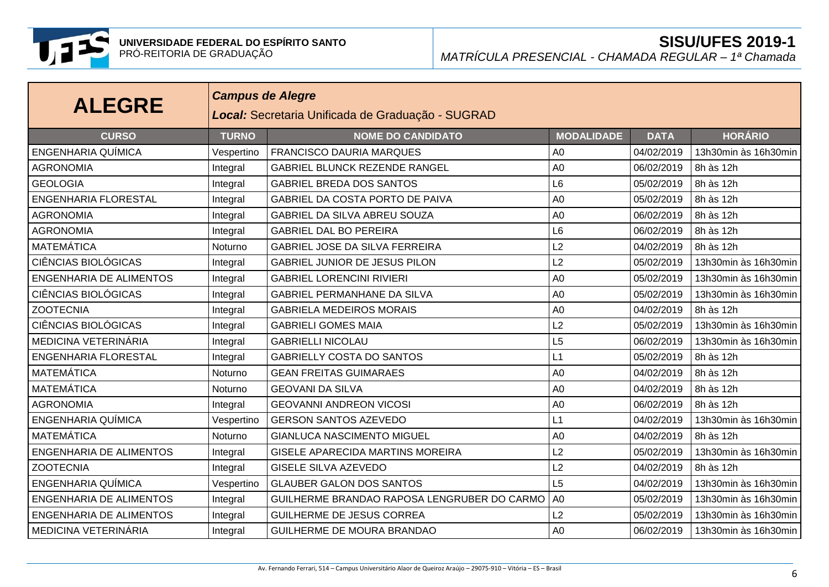

| <b>ALEGRE</b>                  |              | <b>Campus de Alegre</b><br>Local: Secretaria Unificada de Graduação - SUGRAD |                   |             |                      |  |  |  |  |
|--------------------------------|--------------|------------------------------------------------------------------------------|-------------------|-------------|----------------------|--|--|--|--|
| <b>CURSO</b>                   | <b>TURNO</b> | <b>NOME DO CANDIDATO</b>                                                     | <b>MODALIDADE</b> | <b>DATA</b> | <b>HORÁRIO</b>       |  |  |  |  |
| ENGENHARIA QUÍMICA             | Vespertino   | <b>FRANCISCO DAURIA MARQUES</b>                                              | A <sub>0</sub>    | 04/02/2019  | 13h30min às 16h30min |  |  |  |  |
| <b>AGRONOMIA</b>               | Integral     | GABRIEL BLUNCK REZENDE RANGEL                                                | A <sub>0</sub>    | 06/02/2019  | 8h às 12h            |  |  |  |  |
| <b>GEOLOGIA</b>                | Integral     | <b>GABRIEL BREDA DOS SANTOS</b>                                              | L <sub>6</sub>    | 05/02/2019  | 8h às 12h            |  |  |  |  |
| <b>ENGENHARIA FLORESTAL</b>    | Integral     | GABRIEL DA COSTA PORTO DE PAIVA                                              | A <sub>0</sub>    | 05/02/2019  | 8h às 12h            |  |  |  |  |
| <b>AGRONOMIA</b>               | Integral     | GABRIEL DA SILVA ABREU SOUZA                                                 | A <sub>0</sub>    | 06/02/2019  | 8h às 12h            |  |  |  |  |
| <b>AGRONOMIA</b>               | Integral     | <b>GABRIEL DAL BO PEREIRA</b>                                                | L <sub>6</sub>    | 06/02/2019  | 8h às 12h            |  |  |  |  |
| <b>MATEMÁTICA</b>              | Noturno      | GABRIEL JOSE DA SILVA FERREIRA                                               | L2                | 04/02/2019  | 8h às 12h            |  |  |  |  |
| <b>CIÊNCIAS BIOLÓGICAS</b>     | Integral     | GABRIEL JUNIOR DE JESUS PILON                                                | L2                | 05/02/2019  | 13h30min às 16h30min |  |  |  |  |
| <b>ENGENHARIA DE ALIMENTOS</b> | Integral     | <b>GABRIEL LORENCINI RIVIERI</b>                                             | A <sub>0</sub>    | 05/02/2019  | 13h30min às 16h30min |  |  |  |  |
| <b>CIÊNCIAS BIOLÓGICAS</b>     | Integral     | <b>GABRIEL PERMANHANE DA SILVA</b>                                           | A <sub>0</sub>    | 05/02/2019  | 13h30min às 16h30min |  |  |  |  |
| <b>ZOOTECNIA</b>               | Integral     | <b>GABRIELA MEDEIROS MORAIS</b>                                              | A <sub>0</sub>    | 04/02/2019  | 8h às 12h            |  |  |  |  |
| <b>CIÊNCIAS BIOLÓGICAS</b>     | Integral     | <b>GABRIELI GOMES MAIA</b>                                                   | L2                | 05/02/2019  | 13h30min às 16h30min |  |  |  |  |
| MEDICINA VETERINÁRIA           | Integral     | <b>GABRIELLI NICOLAU</b>                                                     | L5                | 06/02/2019  | 13h30min às 16h30min |  |  |  |  |
| <b>ENGENHARIA FLORESTAL</b>    | Integral     | <b>GABRIELLY COSTA DO SANTOS</b>                                             | L1                | 05/02/2019  | 8h às 12h            |  |  |  |  |
| <b>MATEMÁTICA</b>              | Noturno      | <b>GEAN FREITAS GUIMARAES</b>                                                | A <sub>0</sub>    | 04/02/2019  | 8h às 12h            |  |  |  |  |
| <b>MATEMÁTICA</b>              | Noturno      | <b>GEOVANI DA SILVA</b>                                                      | A <sub>0</sub>    | 04/02/2019  | 8h às 12h            |  |  |  |  |
| <b>AGRONOMIA</b>               | Integral     | <b>GEOVANNI ANDREON VICOSI</b>                                               | A <sub>0</sub>    | 06/02/2019  | 8h às 12h            |  |  |  |  |
| ENGENHARIA QUÍMICA             | Vespertino   | <b>GERSON SANTOS AZEVEDO</b>                                                 | L1                | 04/02/2019  | 13h30min às 16h30min |  |  |  |  |
| <b>MATEMÁTICA</b>              | Noturno      | <b>GIANLUCA NASCIMENTO MIGUEL</b>                                            | A <sub>0</sub>    | 04/02/2019  | 8h às 12h            |  |  |  |  |
| <b>ENGENHARIA DE ALIMENTOS</b> | Integral     | GISELE APARECIDA MARTINS MOREIRA                                             | L2                | 05/02/2019  | 13h30min às 16h30min |  |  |  |  |
| <b>ZOOTECNIA</b>               | Integral     | <b>GISELE SILVA AZEVEDO</b>                                                  | L2                | 04/02/2019  | 8h às 12h            |  |  |  |  |
| ENGENHARIA QUÍMICA             | Vespertino   | <b>GLAUBER GALON DOS SANTOS</b>                                              | L5                | 04/02/2019  | 13h30min às 16h30min |  |  |  |  |
| <b>ENGENHARIA DE ALIMENTOS</b> | Integral     | GUILHERME BRANDAO RAPOSA LENGRUBER DO CARMO                                  | A <sub>0</sub>    | 05/02/2019  | 13h30min às 16h30min |  |  |  |  |
| <b>ENGENHARIA DE ALIMENTOS</b> | Integral     | <b>GUILHERME DE JESUS CORREA</b>                                             | L2                | 05/02/2019  | 13h30min às 16h30min |  |  |  |  |
| MEDICINA VETERINÁRIA           | Integral     | GUILHERME DE MOURA BRANDAO                                                   | A <sub>0</sub>    | 06/02/2019  | 13h30min às 16h30min |  |  |  |  |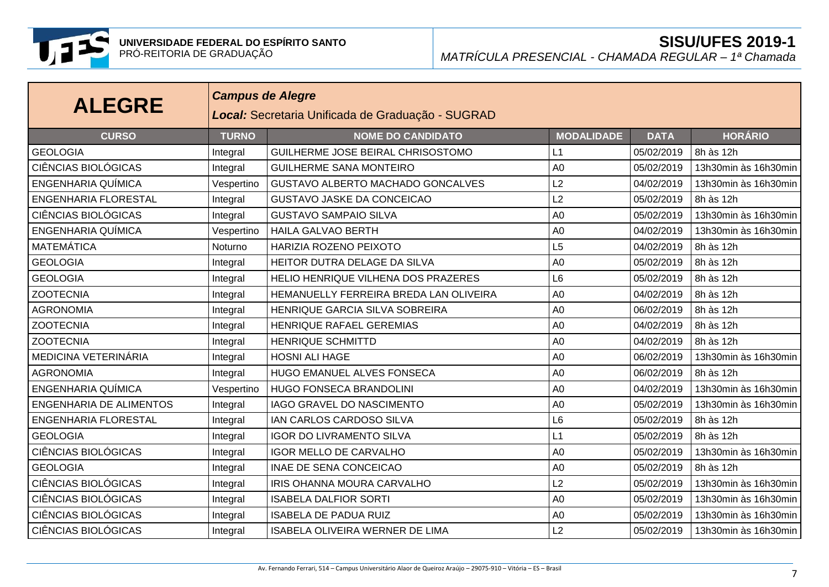

| <b>ALEGRE</b>                  |              | <b>Campus de Alegre</b><br>Local: Secretaria Unificada de Graduação - SUGRAD |                   |             |                      |  |  |  |  |
|--------------------------------|--------------|------------------------------------------------------------------------------|-------------------|-------------|----------------------|--|--|--|--|
| <b>CURSO</b>                   | <b>TURNO</b> | <b>NOME DO CANDIDATO</b>                                                     | <b>MODALIDADE</b> | <b>DATA</b> | <b>HORÁRIO</b>       |  |  |  |  |
| <b>GEOLOGIA</b>                | Integral     | GUILHERME JOSE BEIRAL CHRISOSTOMO                                            | L1                | 05/02/2019  | 8h às 12h            |  |  |  |  |
| <b>CIÊNCIAS BIOLÓGICAS</b>     | Integral     | <b>GUILHERME SANA MONTEIRO</b>                                               | A <sub>0</sub>    | 05/02/2019  | 13h30min às 16h30min |  |  |  |  |
| <b>ENGENHARIA QUÍMICA</b>      | Vespertino   | GUSTAVO ALBERTO MACHADO GONCALVES                                            | L2                | 04/02/2019  | 13h30min às 16h30min |  |  |  |  |
| <b>ENGENHARIA FLORESTAL</b>    | Integral     | <b>GUSTAVO JASKE DA CONCEICAO</b>                                            | L2                | 05/02/2019  | 8h às 12h            |  |  |  |  |
| <b>CIÊNCIAS BIOLÓGICAS</b>     | Integral     | <b>GUSTAVO SAMPAIO SILVA</b>                                                 | A <sub>0</sub>    | 05/02/2019  | 13h30min às 16h30min |  |  |  |  |
| <b>ENGENHARIA QUÍMICA</b>      | Vespertino   | <b>HAILA GALVAO BERTH</b>                                                    | A <sub>0</sub>    | 04/02/2019  | 13h30min às 16h30min |  |  |  |  |
| <b>MATEMÁTICA</b>              | Noturno      | HARIZIA ROZENO PEIXOTO                                                       | L5                | 04/02/2019  | 8h às 12h            |  |  |  |  |
| <b>GEOLOGIA</b>                | Integral     | HEITOR DUTRA DELAGE DA SILVA                                                 | A <sub>0</sub>    | 05/02/2019  | 8h às 12h            |  |  |  |  |
| <b>GEOLOGIA</b>                | Integral     | HELIO HENRIQUE VILHENA DOS PRAZERES                                          | L <sub>6</sub>    | 05/02/2019  | 8h às 12h            |  |  |  |  |
| <b>ZOOTECNIA</b>               | Integral     | HEMANUELLY FERREIRA BREDA LAN OLIVEIRA                                       | A <sub>0</sub>    | 04/02/2019  | 8h às 12h            |  |  |  |  |
| <b>AGRONOMIA</b>               | Integral     | HENRIQUE GARCIA SILVA SOBREIRA                                               | A <sub>0</sub>    | 06/02/2019  | 8h às 12h            |  |  |  |  |
| <b>ZOOTECNIA</b>               | Integral     | HENRIQUE RAFAEL GEREMIAS                                                     | A <sub>0</sub>    | 04/02/2019  | 8h às 12h            |  |  |  |  |
| <b>ZOOTECNIA</b>               | Integral     | <b>HENRIQUE SCHMITTD</b>                                                     | A <sub>0</sub>    | 04/02/2019  | 8h às 12h            |  |  |  |  |
| MEDICINA VETERINÁRIA           | Integral     | <b>HOSNI ALI HAGE</b>                                                        | A <sub>0</sub>    | 06/02/2019  | 13h30min às 16h30min |  |  |  |  |
| <b>AGRONOMIA</b>               | Integral     | HUGO EMANUEL ALVES FONSECA                                                   | A <sub>0</sub>    | 06/02/2019  | 8h às 12h            |  |  |  |  |
| ENGENHARIA QUÍMICA             | Vespertino   | HUGO FONSECA BRANDOLINI                                                      | A <sub>0</sub>    | 04/02/2019  | 13h30min às 16h30min |  |  |  |  |
| <b>ENGENHARIA DE ALIMENTOS</b> | Integral     | IAGO GRAVEL DO NASCIMENTO                                                    | A <sub>0</sub>    | 05/02/2019  | 13h30min às 16h30min |  |  |  |  |
| <b>ENGENHARIA FLORESTAL</b>    | Integral     | IAN CARLOS CARDOSO SILVA                                                     | L <sub>6</sub>    | 05/02/2019  | 8h às 12h            |  |  |  |  |
| <b>GEOLOGIA</b>                | Integral     | <b>IGOR DO LIVRAMENTO SILVA</b>                                              | L1                | 05/02/2019  | 8h às 12h            |  |  |  |  |
| <b>CIÊNCIAS BIOLÓGICAS</b>     | Integral     | <b>IGOR MELLO DE CARVALHO</b>                                                | A <sub>0</sub>    | 05/02/2019  | 13h30min às 16h30min |  |  |  |  |
| <b>GEOLOGIA</b>                | Integral     | <b>INAE DE SENA CONCEICAO</b>                                                | A <sub>0</sub>    | 05/02/2019  | 8h às 12h            |  |  |  |  |
| <b>CIÊNCIAS BIOLÓGICAS</b>     | Integral     | IRIS OHANNA MOURA CARVALHO                                                   | L2                | 05/02/2019  | 13h30min às 16h30min |  |  |  |  |
| <b>CIÊNCIAS BIOLÓGICAS</b>     | Integral     | <b>ISABELA DALFIOR SORTI</b>                                                 | A <sub>0</sub>    | 05/02/2019  | 13h30min às 16h30min |  |  |  |  |
| <b>CIÊNCIAS BIOLÓGICAS</b>     | Integral     | <b>ISABELA DE PADUA RUIZ</b>                                                 | A <sub>0</sub>    | 05/02/2019  | 13h30min às 16h30min |  |  |  |  |
| CIÊNCIAS BIOLÓGICAS            | Integral     | <b>ISABELA OLIVEIRA WERNER DE LIMA</b>                                       | L2                | 05/02/2019  | 13h30min às 16h30min |  |  |  |  |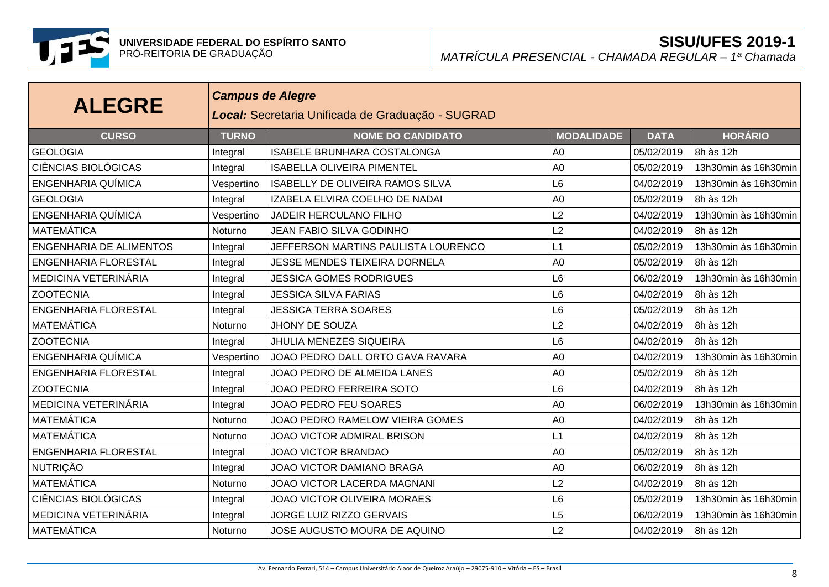

| <b>ALEGRE</b>                  | <b>Campus de Alegre</b><br>Local: Secretaria Unificada de Graduação - SUGRAD |                                         |                   |             |                      |  |  |  |
|--------------------------------|------------------------------------------------------------------------------|-----------------------------------------|-------------------|-------------|----------------------|--|--|--|
| <b>CURSO</b>                   | <b>TURNO</b>                                                                 | <b>NOME DO CANDIDATO</b>                | <b>MODALIDADE</b> | <b>DATA</b> | <b>HORÁRIO</b>       |  |  |  |
| <b>GEOLOGIA</b>                | Integral                                                                     | <b>ISABELE BRUNHARA COSTALONGA</b>      | A <sub>0</sub>    | 05/02/2019  | 8h às 12h            |  |  |  |
| <b>CIÊNCIAS BIOLÓGICAS</b>     | Integral                                                                     | <b>ISABELLA OLIVEIRA PIMENTEL</b>       | A <sub>0</sub>    | 05/02/2019  | 13h30min às 16h30min |  |  |  |
| <b>ENGENHARIA QUÍMICA</b>      | Vespertino                                                                   | <b>ISABELLY DE OLIVEIRA RAMOS SILVA</b> | L <sub>6</sub>    | 04/02/2019  | 13h30min às 16h30min |  |  |  |
| <b>GEOLOGIA</b>                | Integral                                                                     | IZABELA ELVIRA COELHO DE NADAI          | A <sub>0</sub>    | 05/02/2019  | 8h às 12h            |  |  |  |
| ENGENHARIA QUÍMICA             | Vespertino                                                                   | JADEIR HERCULANO FILHO                  | L2                | 04/02/2019  | 13h30min às 16h30min |  |  |  |
| <b>MATEMÁTICA</b>              | Noturno                                                                      | <b>JEAN FABIO SILVA GODINHO</b>         | L2                | 04/02/2019  | 8h às 12h            |  |  |  |
| <b>ENGENHARIA DE ALIMENTOS</b> | Integral                                                                     | JEFFERSON MARTINS PAULISTA LOURENCO     | L1                | 05/02/2019  | 13h30min às 16h30min |  |  |  |
| <b>ENGENHARIA FLORESTAL</b>    | Integral                                                                     | JESSE MENDES TEIXEIRA DORNELA           | A <sub>0</sub>    | 05/02/2019  | 8h às 12h            |  |  |  |
| MEDICINA VETERINÁRIA           | Integral                                                                     | <b>JESSICA GOMES RODRIGUES</b>          | L6                | 06/02/2019  | 13h30min às 16h30min |  |  |  |
| <b>ZOOTECNIA</b>               | Integral                                                                     | <b>JESSICA SILVA FARIAS</b>             | L <sub>6</sub>    | 04/02/2019  | 8h às 12h            |  |  |  |
| <b>ENGENHARIA FLORESTAL</b>    | Integral                                                                     | <b>JESSICA TERRA SOARES</b>             | L <sub>6</sub>    | 05/02/2019  | 8h às 12h            |  |  |  |
| <b>MATEMÁTICA</b>              | Noturno                                                                      | JHONY DE SOUZA                          | L2                | 04/02/2019  | 8h às 12h            |  |  |  |
| <b>ZOOTECNIA</b>               | Integral                                                                     | <b>JHULIA MENEZES SIQUEIRA</b>          | L <sub>6</sub>    | 04/02/2019  | 8h às 12h            |  |  |  |
| <b>ENGENHARIA QUÍMICA</b>      | Vespertino                                                                   | JOAO PEDRO DALL ORTO GAVA RAVARA        | A <sub>0</sub>    | 04/02/2019  | 13h30min às 16h30min |  |  |  |
| <b>ENGENHARIA FLORESTAL</b>    | Integral                                                                     | JOAO PEDRO DE ALMEIDA LANES             | A <sub>0</sub>    | 05/02/2019  | 8h às 12h            |  |  |  |
| <b>ZOOTECNIA</b>               | Integral                                                                     | JOAO PEDRO FERREIRA SOTO                | L <sub>6</sub>    | 04/02/2019  | 8h às 12h            |  |  |  |
| MEDICINA VETERINÁRIA           | Integral                                                                     | JOAO PEDRO FEU SOARES                   | A <sub>0</sub>    | 06/02/2019  | 13h30min às 16h30min |  |  |  |
| MATEMÁTICA                     | Noturno                                                                      | JOAO PEDRO RAMELOW VIEIRA GOMES         | A <sub>0</sub>    | 04/02/2019  | 8h às 12h            |  |  |  |
| <b>MATEMÁTICA</b>              | Noturno                                                                      | JOAO VICTOR ADMIRAL BRISON              | L1                | 04/02/2019  | 8h às 12h            |  |  |  |
| <b>ENGENHARIA FLORESTAL</b>    | Integral                                                                     | <b>JOAO VICTOR BRANDAO</b>              | A <sub>0</sub>    | 05/02/2019  | 8h às 12h            |  |  |  |
| NUTRIÇÃO                       | Integral                                                                     | JOAO VICTOR DAMIANO BRAGA               | A <sub>0</sub>    | 06/02/2019  | 8h às 12h            |  |  |  |
| <b>MATEMÁTICA</b>              | Noturno                                                                      | JOAO VICTOR LACERDA MAGNANI             | L2                | 04/02/2019  | 8h às 12h            |  |  |  |
| <b>CIÊNCIAS BIOLÓGICAS</b>     | Integral                                                                     | <b>JOAO VICTOR OLIVEIRA MORAES</b>      | L <sub>6</sub>    | 05/02/2019  | 13h30min às 16h30min |  |  |  |
| MEDICINA VETERINÁRIA           | Integral                                                                     | <b>JORGE LUIZ RIZZO GERVAIS</b>         | L5                | 06/02/2019  | 13h30min às 16h30min |  |  |  |
| <b>MATEMÁTICA</b>              | Noturno                                                                      | JOSE AUGUSTO MOURA DE AQUINO            | L2                | 04/02/2019  | 8h às 12h            |  |  |  |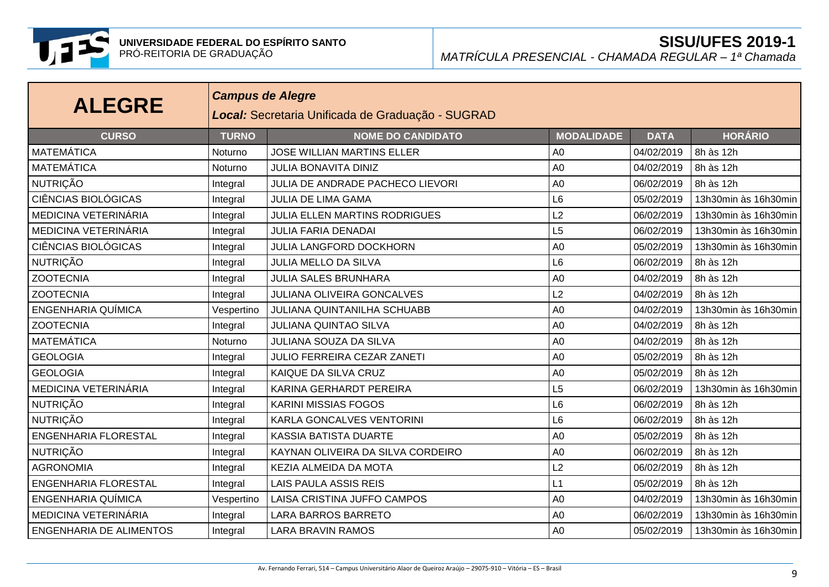

| <b>ALEGRE</b>                  |              | <b>Campus de Alegre</b><br>Local: Secretaria Unificada de Graduação - SUGRAD |                   |             |                      |  |  |  |  |
|--------------------------------|--------------|------------------------------------------------------------------------------|-------------------|-------------|----------------------|--|--|--|--|
| <b>CURSO</b>                   | <b>TURNO</b> | <b>NOME DO CANDIDATO</b>                                                     | <b>MODALIDADE</b> | <b>DATA</b> | <b>HORÁRIO</b>       |  |  |  |  |
| <b>MATEMÁTICA</b>              | Noturno      | <b>JOSE WILLIAN MARTINS ELLER</b>                                            | A <sub>0</sub>    | 04/02/2019  | 8h às 12h            |  |  |  |  |
| <b>MATEMÁTICA</b>              | Noturno      | <b>JULIA BONAVITA DINIZ</b>                                                  | A <sub>0</sub>    | 04/02/2019  | 8h às 12h            |  |  |  |  |
| <b>NUTRIÇÃO</b>                | Integral     | JULIA DE ANDRADE PACHECO LIEVORI                                             | A <sub>0</sub>    | 06/02/2019  | 8h às 12h            |  |  |  |  |
| <b>CIÊNCIAS BIOLÓGICAS</b>     | Integral     | <b>JULIA DE LIMA GAMA</b>                                                    | L <sub>6</sub>    | 05/02/2019  | 13h30min às 16h30min |  |  |  |  |
| MEDICINA VETERINÁRIA           | Integral     | <b>JULIA ELLEN MARTINS RODRIGUES</b>                                         | L2                | 06/02/2019  | 13h30min às 16h30min |  |  |  |  |
| MEDICINA VETERINÁRIA           | Integral     | <b>JULIA FARIA DENADAI</b>                                                   | L5                | 06/02/2019  | 13h30min às 16h30min |  |  |  |  |
| <b>CIÊNCIAS BIOLÓGICAS</b>     | Integral     | <b>JULIA LANGFORD DOCKHORN</b>                                               | A <sub>0</sub>    | 05/02/2019  | 13h30min às 16h30min |  |  |  |  |
| NUTRIÇÃO                       | Integral     | JULIA MELLO DA SILVA                                                         | L <sub>6</sub>    | 06/02/2019  | 8h às 12h            |  |  |  |  |
| <b>ZOOTECNIA</b>               | Integral     | <b>JULIA SALES BRUNHARA</b>                                                  | A <sub>0</sub>    | 04/02/2019  | 8h às 12h            |  |  |  |  |
| <b>ZOOTECNIA</b>               | Integral     | <b>JULIANA OLIVEIRA GONCALVES</b>                                            | L2                | 04/02/2019  | 8h às 12h            |  |  |  |  |
| ENGENHARIA QUÍMICA             | Vespertino   | <b>JULIANA QUINTANILHA SCHUABB</b>                                           | A <sub>0</sub>    | 04/02/2019  | 13h30min às 16h30min |  |  |  |  |
| <b>ZOOTECNIA</b>               | Integral     | <b>JULIANA QUINTAO SILVA</b>                                                 | A <sub>0</sub>    | 04/02/2019  | 8h às 12h            |  |  |  |  |
| <b>MATEMÁTICA</b>              | Noturno      | <b>JULIANA SOUZA DA SILVA</b>                                                | A <sub>0</sub>    | 04/02/2019  | 8h às 12h            |  |  |  |  |
| <b>GEOLOGIA</b>                | Integral     | JULIO FERREIRA CEZAR ZANETI                                                  | A <sub>0</sub>    | 05/02/2019  | 8h às 12h            |  |  |  |  |
| <b>GEOLOGIA</b>                | Integral     | KAIQUE DA SILVA CRUZ                                                         | A <sub>0</sub>    | 05/02/2019  | 8h às 12h            |  |  |  |  |
| MEDICINA VETERINÁRIA           | Integral     | KARINA GERHARDT PEREIRA                                                      | L <sub>5</sub>    | 06/02/2019  | 13h30min às 16h30min |  |  |  |  |
| <b>NUTRIÇÃO</b>                | Integral     | <b>KARINI MISSIAS FOGOS</b>                                                  | L <sub>6</sub>    | 06/02/2019  | 8h às 12h            |  |  |  |  |
| <b>NUTRIÇÃO</b>                | Integral     | <b>KARLA GONCALVES VENTORINI</b>                                             | L <sub>6</sub>    | 06/02/2019  | 8h às 12h            |  |  |  |  |
| <b>ENGENHARIA FLORESTAL</b>    | Integral     | <b>KASSIA BATISTA DUARTE</b>                                                 | A <sub>0</sub>    | 05/02/2019  | 8h às 12h            |  |  |  |  |
| <b>NUTRIÇÃO</b>                | Integral     | KAYNAN OLIVEIRA DA SILVA CORDEIRO                                            | A <sub>0</sub>    | 06/02/2019  | 8h às 12h            |  |  |  |  |
| <b>AGRONOMIA</b>               | Integral     | KEZIA ALMEIDA DA MOTA                                                        | L2                | 06/02/2019  | 8h às 12h            |  |  |  |  |
| <b>ENGENHARIA FLORESTAL</b>    | Integral     | <b>LAIS PAULA ASSIS REIS</b>                                                 | L1                | 05/02/2019  | 8h às 12h            |  |  |  |  |
| ENGENHARIA QUÍMICA             | Vespertino   | LAISA CRISTINA JUFFO CAMPOS                                                  | A <sub>0</sub>    | 04/02/2019  | 13h30min às 16h30min |  |  |  |  |
| MEDICINA VETERINÁRIA           | Integral     | <b>LARA BARROS BARRETO</b>                                                   | A <sub>0</sub>    | 06/02/2019  | 13h30min às 16h30min |  |  |  |  |
| <b>ENGENHARIA DE ALIMENTOS</b> | Integral     | <b>LARA BRAVIN RAMOS</b>                                                     | A <sub>0</sub>    | 05/02/2019  | 13h30min às 16h30min |  |  |  |  |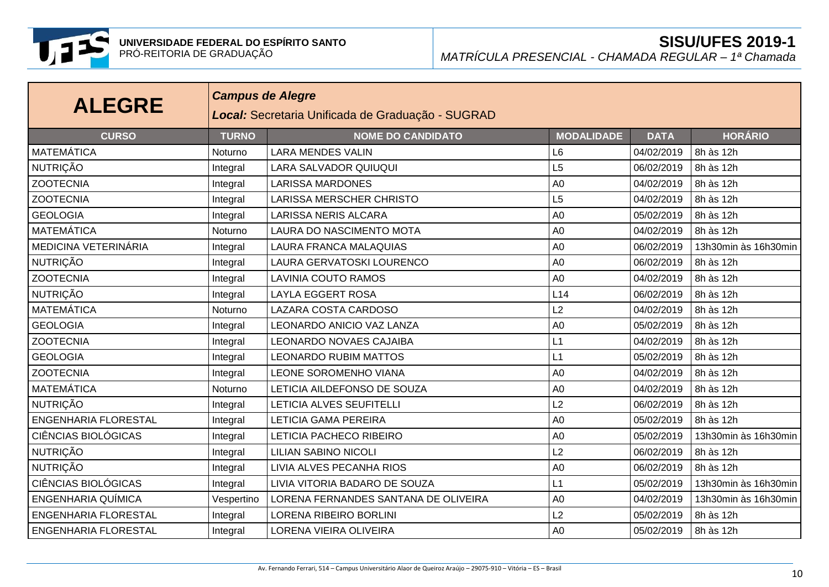

| <b>ALEGRE</b>               |              | <b>Campus de Alegre</b><br>Local: Secretaria Unificada de Graduação - SUGRAD |                   |             |                      |  |  |  |  |
|-----------------------------|--------------|------------------------------------------------------------------------------|-------------------|-------------|----------------------|--|--|--|--|
| <b>CURSO</b>                | <b>TURNO</b> | <b>NOME DO CANDIDATO</b>                                                     | <b>MODALIDADE</b> | <b>DATA</b> | <b>HORÁRIO</b>       |  |  |  |  |
| <b>MATEMÁTICA</b>           | Noturno      | <b>LARA MENDES VALIN</b>                                                     | L <sub>6</sub>    | 04/02/2019  | 8h às 12h            |  |  |  |  |
| <b>NUTRIÇÃO</b>             | Integral     | LARA SALVADOR QUIUQUI                                                        | L5                | 06/02/2019  | 8h às 12h            |  |  |  |  |
| <b>ZOOTECNIA</b>            | Integral     | <b>LARISSA MARDONES</b>                                                      | A <sub>0</sub>    | 04/02/2019  | 8h às 12h            |  |  |  |  |
| <b>ZOOTECNIA</b>            | Integral     | <b>LARISSA MERSCHER CHRISTO</b>                                              | L5                | 04/02/2019  | 8h às 12h            |  |  |  |  |
| <b>GEOLOGIA</b>             | Integral     | <b>LARISSA NERIS ALCARA</b>                                                  | A <sub>0</sub>    | 05/02/2019  | 8h às 12h            |  |  |  |  |
| <b>MATEMÁTICA</b>           | Noturno      | LAURA DO NASCIMENTO MOTA                                                     | A <sub>0</sub>    | 04/02/2019  | 8h às 12h            |  |  |  |  |
| MEDICINA VETERINÁRIA        | Integral     | LAURA FRANCA MALAQUIAS                                                       | A <sub>0</sub>    | 06/02/2019  | 13h30min às 16h30min |  |  |  |  |
| <b>NUTRIÇÃO</b>             | Integral     | LAURA GERVATOSKI LOURENCO                                                    | A <sub>0</sub>    | 06/02/2019  | 8h às 12h            |  |  |  |  |
| <b>ZOOTECNIA</b>            | Integral     | LAVINIA COUTO RAMOS                                                          | A <sub>0</sub>    | 04/02/2019  | 8h às 12h            |  |  |  |  |
| <b>NUTRIÇÃO</b>             | Integral     | <b>LAYLA EGGERT ROSA</b>                                                     | L14               | 06/02/2019  | 8h às 12h            |  |  |  |  |
| <b>MATEMÁTICA</b>           | Noturno      | <b>LAZARA COSTA CARDOSO</b>                                                  | L2                | 04/02/2019  | 8h às 12h            |  |  |  |  |
| <b>GEOLOGIA</b>             | Integral     | LEONARDO ANICIO VAZ LANZA                                                    | A <sub>0</sub>    | 05/02/2019  | 8h às 12h            |  |  |  |  |
| <b>ZOOTECNIA</b>            | Integral     | <b>LEONARDO NOVAES CAJAIBA</b>                                               | L1                | 04/02/2019  | 8h às 12h            |  |  |  |  |
| <b>GEOLOGIA</b>             | Integral     | <b>LEONARDO RUBIM MATTOS</b>                                                 | L1                | 05/02/2019  | 8h às 12h            |  |  |  |  |
| <b>ZOOTECNIA</b>            | Integral     | LEONE SOROMENHO VIANA                                                        | A <sub>0</sub>    | 04/02/2019  | 8h às 12h            |  |  |  |  |
| <b>MATEMÁTICA</b>           | Noturno      | LETICIA AILDEFONSO DE SOUZA                                                  | A <sub>0</sub>    | 04/02/2019  | 8h às 12h            |  |  |  |  |
| <b>NUTRIÇÃO</b>             | Integral     | LETICIA ALVES SEUFITELLI                                                     | L2                | 06/02/2019  | 8h às 12h            |  |  |  |  |
| <b>ENGENHARIA FLORESTAL</b> | Integral     | <b>LETICIA GAMA PEREIRA</b>                                                  | A <sub>0</sub>    | 05/02/2019  | 8h às 12h            |  |  |  |  |
| <b>CIÊNCIAS BIOLÓGICAS</b>  | Integral     | LETICIA PACHECO RIBEIRO                                                      | A <sub>0</sub>    | 05/02/2019  | 13h30min às 16h30min |  |  |  |  |
| <b>NUTRIÇÃO</b>             | Integral     | <b>LILIAN SABINO NICOLI</b>                                                  | L2                | 06/02/2019  | 8h às 12h            |  |  |  |  |
| <b>NUTRIÇÃO</b>             | Integral     | LIVIA ALVES PECANHA RIOS                                                     | A <sub>0</sub>    | 06/02/2019  | 8h às 12h            |  |  |  |  |
| <b>CIÊNCIAS BIOLÓGICAS</b>  | Integral     | LIVIA VITORIA BADARO DE SOUZA                                                | L1                | 05/02/2019  | 13h30min às 16h30min |  |  |  |  |
| <b>ENGENHARIA QUÍMICA</b>   | Vespertino   | LORENA FERNANDES SANTANA DE OLIVEIRA                                         | A <sub>0</sub>    | 04/02/2019  | 13h30min às 16h30min |  |  |  |  |
| <b>ENGENHARIA FLORESTAL</b> | Integral     | <b>LORENA RIBEIRO BORLINI</b>                                                | L2                | 05/02/2019  | 8h às 12h            |  |  |  |  |
| <b>ENGENHARIA FLORESTAL</b> | Integral     | LORENA VIEIRA OLIVEIRA                                                       | A <sub>0</sub>    | 05/02/2019  | 8h às 12h            |  |  |  |  |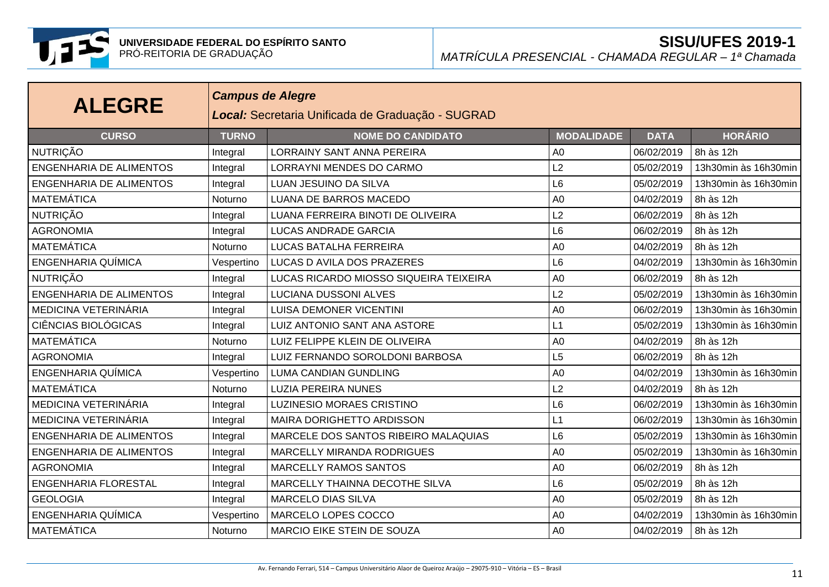

| <b>ALEGRE</b>                  |              | <b>Campus de Alegre</b><br>Local: Secretaria Unificada de Graduação - SUGRAD |                   |             |                      |  |  |  |  |
|--------------------------------|--------------|------------------------------------------------------------------------------|-------------------|-------------|----------------------|--|--|--|--|
| <b>CURSO</b>                   | <b>TURNO</b> | <b>NOME DO CANDIDATO</b>                                                     | <b>MODALIDADE</b> | <b>DATA</b> | <b>HORÁRIO</b>       |  |  |  |  |
| <b>NUTRIÇÃO</b>                | Integral     | <b>LORRAINY SANT ANNA PEREIRA</b>                                            | A <sub>0</sub>    | 06/02/2019  | 8h às 12h            |  |  |  |  |
| <b>ENGENHARIA DE ALIMENTOS</b> | Integral     | LORRAYNI MENDES DO CARMO                                                     | L2                | 05/02/2019  | 13h30min às 16h30min |  |  |  |  |
| <b>ENGENHARIA DE ALIMENTOS</b> | Integral     | LUAN JESUINO DA SILVA                                                        | L <sub>6</sub>    | 05/02/2019  | 13h30min às 16h30min |  |  |  |  |
| <b>MATEMÁTICA</b>              | Noturno      | LUANA DE BARROS MACEDO                                                       | A <sub>0</sub>    | 04/02/2019  | 8h às 12h            |  |  |  |  |
| NUTRIÇÃO                       | Integral     | LUANA FERREIRA BINOTI DE OLIVEIRA                                            | L2                | 06/02/2019  | 8h às 12h            |  |  |  |  |
| <b>AGRONOMIA</b>               | Integral     | <b>LUCAS ANDRADE GARCIA</b>                                                  | L <sub>6</sub>    | 06/02/2019  | 8h às 12h            |  |  |  |  |
| <b>MATEMÁTICA</b>              | Noturno      | LUCAS BATALHA FERREIRA                                                       | A <sub>0</sub>    | 04/02/2019  | 8h às 12h            |  |  |  |  |
| <b>ENGENHARIA QUÍMICA</b>      | Vespertino   | LUCAS D AVILA DOS PRAZERES                                                   | L <sub>6</sub>    | 04/02/2019  | 13h30min às 16h30min |  |  |  |  |
| <b>NUTRIÇÃO</b>                | Integral     | LUCAS RICARDO MIOSSO SIQUEIRA TEIXEIRA                                       | A <sub>0</sub>    | 06/02/2019  | 8h às 12h            |  |  |  |  |
| <b>ENGENHARIA DE ALIMENTOS</b> | Integral     | LUCIANA DUSSONI ALVES                                                        | L2                | 05/02/2019  | 13h30min às 16h30min |  |  |  |  |
| MEDICINA VETERINÁRIA           | Integral     | <b>LUISA DEMONER VICENTINI</b>                                               | A <sub>0</sub>    | 06/02/2019  | 13h30min às 16h30min |  |  |  |  |
| <b>CIÊNCIAS BIOLÓGICAS</b>     | Integral     | LUIZ ANTONIO SANT ANA ASTORE                                                 | L1                | 05/02/2019  | 13h30min às 16h30min |  |  |  |  |
| <b>MATEMÁTICA</b>              | Noturno      | LUIZ FELIPPE KLEIN DE OLIVEIRA                                               | A <sub>0</sub>    | 04/02/2019  | 8h às 12h            |  |  |  |  |
| <b>AGRONOMIA</b>               | Integral     | LUIZ FERNANDO SOROLDONI BARBOSA                                              | L5                | 06/02/2019  | 8h às 12h            |  |  |  |  |
| <b>ENGENHARIA QUÍMICA</b>      | Vespertino   | <b>LUMA CANDIAN GUNDLING</b>                                                 | A <sub>0</sub>    | 04/02/2019  | 13h30min às 16h30min |  |  |  |  |
| <b>MATEMÁTICA</b>              | Noturno      | <b>LUZIA PEREIRA NUNES</b>                                                   | L2                | 04/02/2019  | 8h às 12h            |  |  |  |  |
| MEDICINA VETERINÁRIA           | Integral     | <b>LUZINESIO MORAES CRISTINO</b>                                             | L <sub>6</sub>    | 06/02/2019  | 13h30min às 16h30min |  |  |  |  |
| MEDICINA VETERINÁRIA           | Integral     | MAIRA DORIGHETTO ARDISSON                                                    | L1                | 06/02/2019  | 13h30min às 16h30min |  |  |  |  |
| <b>ENGENHARIA DE ALIMENTOS</b> | Integral     | MARCELE DOS SANTOS RIBEIRO MALAQUIAS                                         | L <sub>6</sub>    | 05/02/2019  | 13h30min às 16h30min |  |  |  |  |
| <b>ENGENHARIA DE ALIMENTOS</b> | Integral     | MARCELLY MIRANDA RODRIGUES                                                   | A <sub>0</sub>    | 05/02/2019  | 13h30min às 16h30min |  |  |  |  |
| <b>AGRONOMIA</b>               | Integral     | <b>MARCELLY RAMOS SANTOS</b>                                                 | A <sub>0</sub>    | 06/02/2019  | 8h às 12h            |  |  |  |  |
| <b>ENGENHARIA FLORESTAL</b>    | Integral     | MARCELLY THAINNA DECOTHE SILVA                                               | L <sub>6</sub>    | 05/02/2019  | 8h às 12h            |  |  |  |  |
| <b>GEOLOGIA</b>                | Integral     | <b>MARCELO DIAS SILVA</b>                                                    | A <sub>0</sub>    | 05/02/2019  | 8h às 12h            |  |  |  |  |
| <b>ENGENHARIA QUÍMICA</b>      | Vespertino   | MARCELO LOPES COCCO                                                          | A <sub>0</sub>    | 04/02/2019  | 13h30min às 16h30min |  |  |  |  |
| <b>MATEMÁTICA</b>              | Noturno      | MARCIO EIKE STEIN DE SOUZA                                                   | A <sub>0</sub>    | 04/02/2019  | 8h às 12h            |  |  |  |  |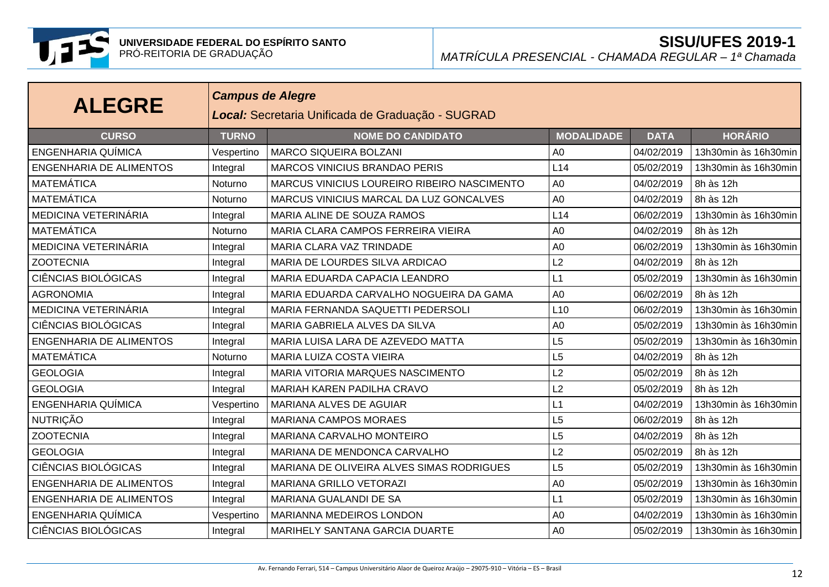

| <b>ALEGRE</b>                  |              | <b>Campus de Alegre</b><br>Local: Secretaria Unificada de Graduação - SUGRAD |                   |             |                      |  |  |  |  |
|--------------------------------|--------------|------------------------------------------------------------------------------|-------------------|-------------|----------------------|--|--|--|--|
| <b>CURSO</b>                   | <b>TURNO</b> | <b>NOME DO CANDIDATO</b>                                                     | <b>MODALIDADE</b> | <b>DATA</b> | <b>HORÁRIO</b>       |  |  |  |  |
| ENGENHARIA QUÍMICA             | Vespertino   | <b>MARCO SIQUEIRA BOLZANI</b>                                                | A <sub>0</sub>    | 04/02/2019  | 13h30min às 16h30min |  |  |  |  |
| <b>ENGENHARIA DE ALIMENTOS</b> | Integral     | <b>MARCOS VINICIUS BRANDAO PERIS</b>                                         | L14               | 05/02/2019  | 13h30min às 16h30min |  |  |  |  |
| MATEMÁTICA                     | Noturno      | MARCUS VINICIUS LOUREIRO RIBEIRO NASCIMENTO                                  | A <sub>0</sub>    | 04/02/2019  | 8h às 12h            |  |  |  |  |
| <b>MATEMÁTICA</b>              | Noturno      | MARCUS VINICIUS MARCAL DA LUZ GONCALVES                                      | A <sub>0</sub>    | 04/02/2019  | 8h às 12h            |  |  |  |  |
| MEDICINA VETERINÁRIA           | Integral     | MARIA ALINE DE SOUZA RAMOS                                                   | L14               | 06/02/2019  | 13h30min às 16h30min |  |  |  |  |
| <b>MATEMÁTICA</b>              | Noturno      | MARIA CLARA CAMPOS FERREIRA VIEIRA                                           | A <sub>0</sub>    | 04/02/2019  | 8h às 12h            |  |  |  |  |
| MEDICINA VETERINÁRIA           | Integral     | MARIA CLARA VAZ TRINDADE                                                     | A <sub>0</sub>    | 06/02/2019  | 13h30min às 16h30min |  |  |  |  |
| <b>ZOOTECNIA</b>               | Integral     | MARIA DE LOURDES SILVA ARDICAO                                               | L2                | 04/02/2019  | 8h às 12h            |  |  |  |  |
| <b>CIÊNCIAS BIOLÓGICAS</b>     | Integral     | MARIA EDUARDA CAPACIA LEANDRO                                                | L1                | 05/02/2019  | 13h30min às 16h30min |  |  |  |  |
| <b>AGRONOMIA</b>               | Integral     | MARIA EDUARDA CARVALHO NOGUEIRA DA GAMA                                      | A <sub>0</sub>    | 06/02/2019  | 8h às 12h            |  |  |  |  |
| MEDICINA VETERINÁRIA           | Integral     | MARIA FERNANDA SAQUETTI PEDERSOLI                                            | L10               | 06/02/2019  | 13h30min às 16h30min |  |  |  |  |
| <b>CIÊNCIAS BIOLÓGICAS</b>     | Integral     | MARIA GABRIELA ALVES DA SILVA                                                | A <sub>0</sub>    | 05/02/2019  | 13h30min às 16h30min |  |  |  |  |
| <b>ENGENHARIA DE ALIMENTOS</b> | Integral     | MARIA LUISA LARA DE AZEVEDO MATTA                                            | L5                | 05/02/2019  | 13h30min às 16h30min |  |  |  |  |
| <b>MATEMÁTICA</b>              | Noturno      | <b>MARIA LUIZA COSTA VIEIRA</b>                                              | L5                | 04/02/2019  | 8h às 12h            |  |  |  |  |
| <b>GEOLOGIA</b>                | Integral     | MARIA VITORIA MARQUES NASCIMENTO                                             | L2                | 05/02/2019  | 8h às 12h            |  |  |  |  |
| <b>GEOLOGIA</b>                | Integral     | MARIAH KAREN PADILHA CRAVO                                                   | L2                | 05/02/2019  | 8h às 12h            |  |  |  |  |
| <b>ENGENHARIA QUÍMICA</b>      | Vespertino   | <b>MARIANA ALVES DE AGUIAR</b>                                               | L1                | 04/02/2019  | 13h30min às 16h30min |  |  |  |  |
| <b>NUTRIÇÃO</b>                | Integral     | <b>MARIANA CAMPOS MORAES</b>                                                 | L5                | 06/02/2019  | 8h às 12h            |  |  |  |  |
| <b>ZOOTECNIA</b>               | Integral     | MARIANA CARVALHO MONTEIRO                                                    | L5                | 04/02/2019  | 8h às 12h            |  |  |  |  |
| <b>GEOLOGIA</b>                | Integral     | MARIANA DE MENDONCA CARVALHO                                                 | L2                | 05/02/2019  | 8h às 12h            |  |  |  |  |
| <b>CIÊNCIAS BIOLÓGICAS</b>     | Integral     | MARIANA DE OLIVEIRA ALVES SIMAS RODRIGUES                                    | L5                | 05/02/2019  | 13h30min às 16h30min |  |  |  |  |
| <b>ENGENHARIA DE ALIMENTOS</b> | Integral     | MARIANA GRILLO VETORAZI                                                      | A <sub>0</sub>    | 05/02/2019  | 13h30min às 16h30min |  |  |  |  |
| <b>ENGENHARIA DE ALIMENTOS</b> | Integral     | MARIANA GUALANDI DE SA                                                       | L1                | 05/02/2019  | 13h30min às 16h30min |  |  |  |  |
| <b>ENGENHARIA QUÍMICA</b>      | Vespertino   | MARIANNA MEDEIROS LONDON                                                     | A <sub>0</sub>    | 04/02/2019  | 13h30min às 16h30min |  |  |  |  |
| CIÊNCIAS BIOLÓGICAS            | Integral     | MARIHELY SANTANA GARCIA DUARTE                                               | A <sub>0</sub>    | 05/02/2019  | 13h30min às 16h30min |  |  |  |  |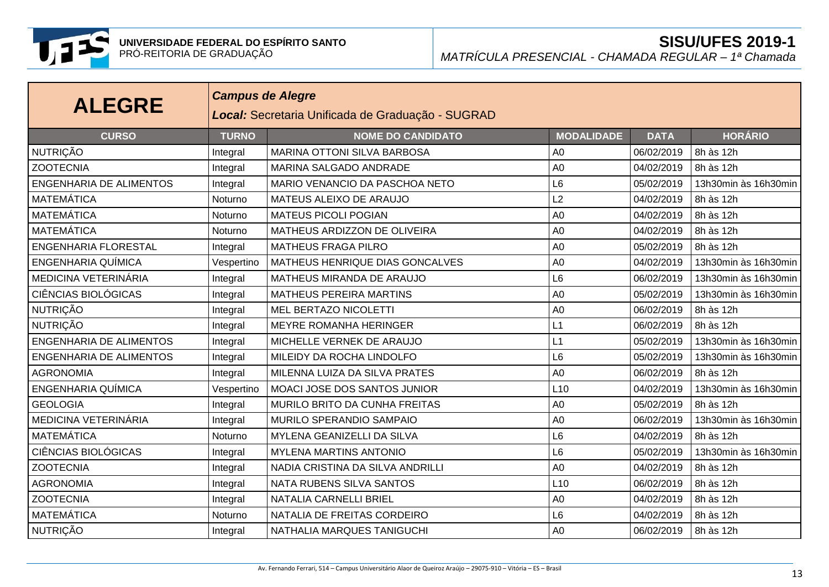

| <b>ALEGRE</b>                  | <b>Campus de Alegre</b><br>Local: Secretaria Unificada de Graduação - SUGRAD |                                    |                   |             |                      |  |
|--------------------------------|------------------------------------------------------------------------------|------------------------------------|-------------------|-------------|----------------------|--|
| <b>CURSO</b>                   | <b>TURNO</b>                                                                 | <b>NOME DO CANDIDATO</b>           | <b>MODALIDADE</b> | <b>DATA</b> | <b>HORÁRIO</b>       |  |
| NUTRIÇÃO                       | Integral                                                                     | <b>MARINA OTTONI SILVA BARBOSA</b> | A <sub>0</sub>    | 06/02/2019  | 8h às 12h            |  |
| <b>ZOOTECNIA</b>               | Integral                                                                     | MARINA SALGADO ANDRADE             | A <sub>0</sub>    | 04/02/2019  | 8h às 12h            |  |
| <b>ENGENHARIA DE ALIMENTOS</b> | Integral                                                                     | MARIO VENANCIO DA PASCHOA NETO     | L <sub>6</sub>    | 05/02/2019  | 13h30min às 16h30min |  |
| <b>MATEMÁTICA</b>              | Noturno                                                                      | MATEUS ALEIXO DE ARAUJO            | L2                | 04/02/2019  | 8h às 12h            |  |
| <b>MATEMÁTICA</b>              | Noturno                                                                      | <b>MATEUS PICOLI POGIAN</b>        | A <sub>0</sub>    | 04/02/2019  | 8h às 12h            |  |
| <b>MATEMÁTICA</b>              | Noturno                                                                      | MATHEUS ARDIZZON DE OLIVEIRA       | A <sub>0</sub>    | 04/02/2019  | 8h às 12h            |  |
| <b>ENGENHARIA FLORESTAL</b>    | Integral                                                                     | <b>MATHEUS FRAGA PILRO</b>         | A <sub>0</sub>    | 05/02/2019  | 8h às 12h            |  |
| ENGENHARIA QUÍMICA             | Vespertino                                                                   | MATHEUS HENRIQUE DIAS GONCALVES    | A <sub>0</sub>    | 04/02/2019  | 13h30min às 16h30min |  |
| MEDICINA VETERINÁRIA           | Integral                                                                     | MATHEUS MIRANDA DE ARAUJO          | L <sub>6</sub>    | 06/02/2019  | 13h30min às 16h30min |  |
| <b>CIÊNCIAS BIOLÓGICAS</b>     | Integral                                                                     | <b>MATHEUS PEREIRA MARTINS</b>     | A <sub>0</sub>    | 05/02/2019  | 13h30min às 16h30min |  |
| <b>NUTRIÇÃO</b>                | Integral                                                                     | MEL BERTAZO NICOLETTI              | A <sub>0</sub>    | 06/02/2019  | 8h às 12h            |  |
| <b>NUTRIÇÃO</b>                | Integral                                                                     | MEYRE ROMANHA HERINGER             | L1                | 06/02/2019  | 8h às 12h            |  |
| <b>ENGENHARIA DE ALIMENTOS</b> | Integral                                                                     | MICHELLE VERNEK DE ARAUJO          | L1                | 05/02/2019  | 13h30min às 16h30min |  |
| <b>ENGENHARIA DE ALIMENTOS</b> | Integral                                                                     | MILEIDY DA ROCHA LINDOLFO          | L <sub>6</sub>    | 05/02/2019  | 13h30min às 16h30min |  |
| <b>AGRONOMIA</b>               | Integral                                                                     | MILENNA LUIZA DA SILVA PRATES      | A <sub>0</sub>    | 06/02/2019  | 8h às 12h            |  |
| ENGENHARIA QUÍMICA             | Vespertino                                                                   | MOACI JOSE DOS SANTOS JUNIOR       | L10               | 04/02/2019  | 13h30min às 16h30min |  |
| <b>GEOLOGIA</b>                | Integral                                                                     | MURILO BRITO DA CUNHA FREITAS      | A <sub>0</sub>    | 05/02/2019  | 8h às 12h            |  |
| MEDICINA VETERINÁRIA           | Integral                                                                     | MURILO SPERANDIO SAMPAIO           | A <sub>0</sub>    | 06/02/2019  | 13h30min às 16h30min |  |
| <b>MATEMÁTICA</b>              | Noturno                                                                      | MYLENA GEANIZELLI DA SILVA         | L <sub>6</sub>    | 04/02/2019  | 8h às 12h            |  |
| <b>CIÊNCIAS BIOLÓGICAS</b>     | Integral                                                                     | <b>MYLENA MARTINS ANTONIO</b>      | L <sub>6</sub>    | 05/02/2019  | 13h30min às 16h30min |  |
| <b>ZOOTECNIA</b>               | Integral                                                                     | NADIA CRISTINA DA SILVA ANDRILLI   | A <sub>0</sub>    | 04/02/2019  | 8h às 12h            |  |
| <b>AGRONOMIA</b>               | Integral                                                                     | NATA RUBENS SILVA SANTOS           | L10               | 06/02/2019  | 8h às 12h            |  |
| <b>ZOOTECNIA</b>               | Integral                                                                     | NATALIA CARNELLI BRIEL             | A <sub>0</sub>    | 04/02/2019  | 8h às 12h            |  |
| <b>MATEMÁTICA</b>              | Noturno                                                                      | NATALIA DE FREITAS CORDEIRO        | L <sub>6</sub>    | 04/02/2019  | 8h às 12h            |  |
| <b>NUTRIÇÃO</b>                | Integral                                                                     | NATHALIA MARQUES TANIGUCHI         | A <sub>0</sub>    | 06/02/2019  | 8h às 12h            |  |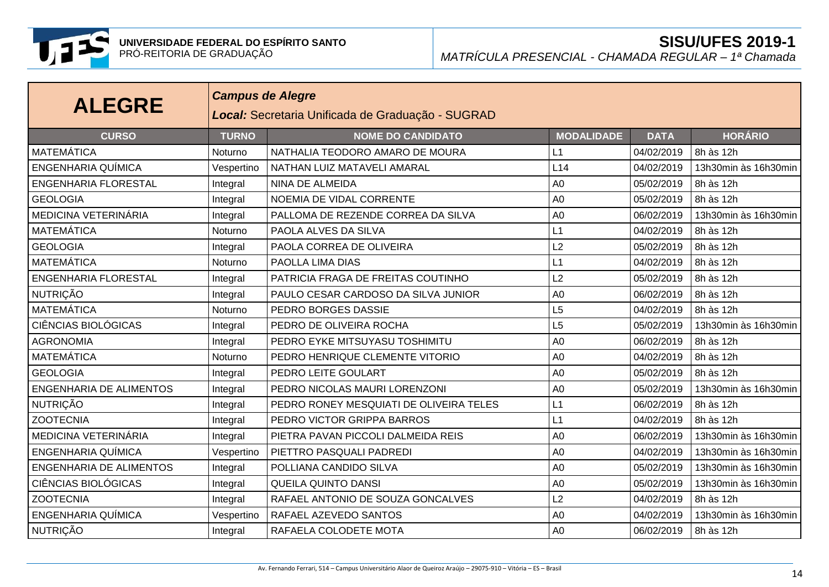

| <b>ALEGRE</b>                  | <b>Campus de Alegre</b><br>Local: Secretaria Unificada de Graduação - SUGRAD |                                         |                   |             |                      |  |
|--------------------------------|------------------------------------------------------------------------------|-----------------------------------------|-------------------|-------------|----------------------|--|
| <b>CURSO</b>                   | <b>TURNO</b>                                                                 | <b>NOME DO CANDIDATO</b>                | <b>MODALIDADE</b> | <b>DATA</b> | <b>HORÁRIO</b>       |  |
| MATEMÁTICA                     | Noturno                                                                      | NATHALIA TEODORO AMARO DE MOURA         | L1                | 04/02/2019  | 8h às 12h            |  |
| <b>ENGENHARIA QUÍMICA</b>      | Vespertino                                                                   | NATHAN LUIZ MATAVELI AMARAL             | L14               | 04/02/2019  | 13h30min às 16h30min |  |
| <b>ENGENHARIA FLORESTAL</b>    | Integral                                                                     | <b>NINA DE ALMEIDA</b>                  | A <sub>0</sub>    | 05/02/2019  | 8h às 12h            |  |
| <b>GEOLOGIA</b>                | Integral                                                                     | NOEMIA DE VIDAL CORRENTE                | A <sub>0</sub>    | 05/02/2019  | 8h às 12h            |  |
| MEDICINA VETERINÁRIA           | Integral                                                                     | PALLOMA DE REZENDE CORREA DA SILVA      | A <sub>0</sub>    | 06/02/2019  | 13h30min às 16h30min |  |
| <b>MATEMÁTICA</b>              | Noturno                                                                      | PAOLA ALVES DA SILVA                    | L1                | 04/02/2019  | 8h às 12h            |  |
| <b>GEOLOGIA</b>                | Integral                                                                     | PAOLA CORREA DE OLIVEIRA                | L2                | 05/02/2019  | 8h às 12h            |  |
| MATEMÁTICA                     | Noturno                                                                      | PAOLLA LIMA DIAS                        | L1                | 04/02/2019  | 8h às 12h            |  |
| <b>ENGENHARIA FLORESTAL</b>    | Integral                                                                     | PATRICIA FRAGA DE FREITAS COUTINHO      | L2                | 05/02/2019  | 8h às 12h            |  |
| NUTRIÇÃO                       | Integral                                                                     | PAULO CESAR CARDOSO DA SILVA JUNIOR     | A <sub>0</sub>    | 06/02/2019  | 8h às 12h            |  |
| <b>MATEMÁTICA</b>              | Noturno                                                                      | PEDRO BORGES DASSIE                     | L5                | 04/02/2019  | 8h às 12h            |  |
| <b>CIÊNCIAS BIOLÓGICAS</b>     | Integral                                                                     | PEDRO DE OLIVEIRA ROCHA                 | L5                | 05/02/2019  | 13h30min às 16h30min |  |
| <b>AGRONOMIA</b>               | Integral                                                                     | PEDRO EYKE MITSUYASU TOSHIMITU          | A <sub>0</sub>    | 06/02/2019  | 8h às 12h            |  |
| <b>MATEMÁTICA</b>              | Noturno                                                                      | PEDRO HENRIQUE CLEMENTE VITORIO         | A <sub>0</sub>    | 04/02/2019  | 8h às 12h            |  |
| <b>GEOLOGIA</b>                | Integral                                                                     | PEDRO LEITE GOULART                     | A <sub>0</sub>    | 05/02/2019  | 8h às 12h            |  |
| <b>ENGENHARIA DE ALIMENTOS</b> | Integral                                                                     | PEDRO NICOLAS MAURI LORENZONI           | A <sub>0</sub>    | 05/02/2019  | 13h30min às 16h30min |  |
| <b>NUTRIÇÃO</b>                | Integral                                                                     | PEDRO RONEY MESQUIATI DE OLIVEIRA TELES | L1                | 06/02/2019  | 8h às 12h            |  |
| <b>ZOOTECNIA</b>               | Integral                                                                     | PEDRO VICTOR GRIPPA BARROS              | L1                | 04/02/2019  | 8h às 12h            |  |
| MEDICINA VETERINÁRIA           | Integral                                                                     | PIETRA PAVAN PICCOLI DALMEIDA REIS      | A <sub>0</sub>    | 06/02/2019  | 13h30min às 16h30min |  |
| <b>ENGENHARIA QUÍMICA</b>      | Vespertino                                                                   | PIETTRO PASQUALI PADREDI                | A <sub>0</sub>    | 04/02/2019  | 13h30min às 16h30min |  |
| <b>ENGENHARIA DE ALIMENTOS</b> | Integral                                                                     | POLLIANA CANDIDO SILVA                  | A <sub>0</sub>    | 05/02/2019  | 13h30min às 16h30min |  |
| <b>CIÊNCIAS BIOLÓGICAS</b>     | Integral                                                                     | <b>QUEILA QUINTO DANSI</b>              | A <sub>0</sub>    | 05/02/2019  | 13h30min às 16h30min |  |
| <b>ZOOTECNIA</b>               | Integral                                                                     | RAFAEL ANTONIO DE SOUZA GONCALVES       | L2                | 04/02/2019  | 8h às 12h            |  |
| <b>ENGENHARIA QUÍMICA</b>      | Vespertino                                                                   | RAFAEL AZEVEDO SANTOS                   | A <sub>0</sub>    | 04/02/2019  | 13h30min às 16h30min |  |
| <b>NUTRIÇÃO</b>                | Integral                                                                     | RAFAELA COLODETE MOTA                   | A <sub>0</sub>    | 06/02/2019  | 8h às 12h            |  |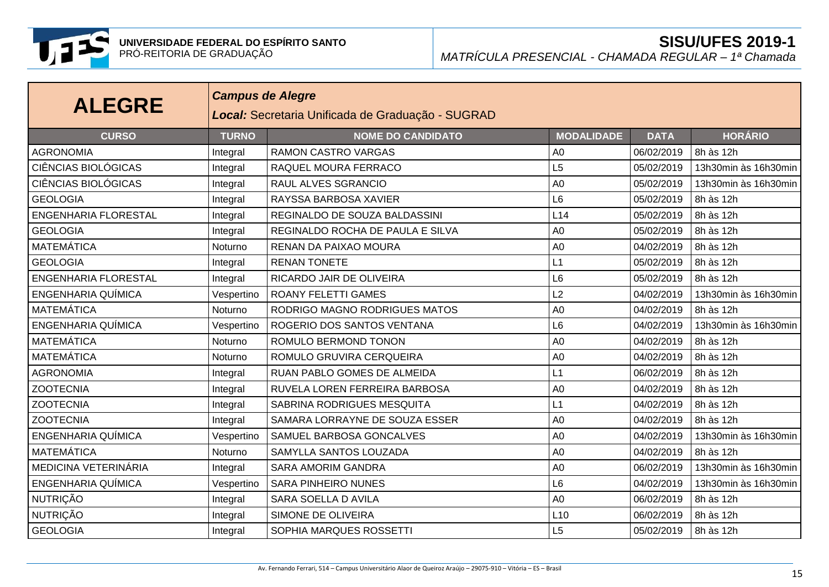

| <b>ALEGRE</b>               | <b>Campus de Alegre</b><br>Local: Secretaria Unificada de Graduação - SUGRAD |                                  |                   |             |                      |  |
|-----------------------------|------------------------------------------------------------------------------|----------------------------------|-------------------|-------------|----------------------|--|
| <b>CURSO</b>                | <b>TURNO</b>                                                                 | <b>NOME DO CANDIDATO</b>         | <b>MODALIDADE</b> | <b>DATA</b> | <b>HORÁRIO</b>       |  |
| <b>AGRONOMIA</b>            | Integral                                                                     | <b>RAMON CASTRO VARGAS</b>       | A <sub>0</sub>    | 06/02/2019  | 8h às 12h            |  |
| <b>CIÊNCIAS BIOLÓGICAS</b>  | Integral                                                                     | RAQUEL MOURA FERRACO             | L5                | 05/02/2019  | 13h30min às 16h30min |  |
| <b>CIÊNCIAS BIOLÓGICAS</b>  | Integral                                                                     | RAUL ALVES SGRANCIO              | A <sub>0</sub>    | 05/02/2019  | 13h30min às 16h30min |  |
| <b>GEOLOGIA</b>             | Integral                                                                     | RAYSSA BARBOSA XAVIER            | L <sub>6</sub>    | 05/02/2019  | 8h às 12h            |  |
| <b>ENGENHARIA FLORESTAL</b> | Integral                                                                     | REGINALDO DE SOUZA BALDASSINI    | L14               | 05/02/2019  | 8h às 12h            |  |
| <b>GEOLOGIA</b>             | Integral                                                                     | REGINALDO ROCHA DE PAULA E SILVA | A <sub>0</sub>    | 05/02/2019  | 8h às 12h            |  |
| <b>MATEMÁTICA</b>           | Noturno                                                                      | RENAN DA PAIXAO MOURA            | A <sub>0</sub>    | 04/02/2019  | 8h às 12h            |  |
| <b>GEOLOGIA</b>             | Integral                                                                     | <b>RENAN TONETE</b>              | L1                | 05/02/2019  | 8h às 12h            |  |
| <b>ENGENHARIA FLORESTAL</b> | Integral                                                                     | RICARDO JAIR DE OLIVEIRA         | L <sub>6</sub>    | 05/02/2019  | 8h às 12h            |  |
| ENGENHARIA QUÍMICA          | Vespertino                                                                   | <b>ROANY FELETTI GAMES</b>       | L2                | 04/02/2019  | 13h30min às 16h30min |  |
| <b>MATEMÁTICA</b>           | <b>Noturno</b>                                                               | RODRIGO MAGNO RODRIGUES MATOS    | A <sub>0</sub>    | 04/02/2019  | 8h às 12h            |  |
| <b>ENGENHARIA QUÍMICA</b>   | Vespertino                                                                   | ROGERIO DOS SANTOS VENTANA       | L <sub>6</sub>    | 04/02/2019  | 13h30min às 16h30min |  |
| <b>MATEMÁTICA</b>           | Noturno                                                                      | ROMULO BERMOND TONON             | A <sub>0</sub>    | 04/02/2019  | 8h às 12h            |  |
| MATEMÁTICA                  | Noturno                                                                      | ROMULO GRUVIRA CERQUEIRA         | A <sub>0</sub>    | 04/02/2019  | 8h às 12h            |  |
| <b>AGRONOMIA</b>            | Integral                                                                     | RUAN PABLO GOMES DE ALMEIDA      | L1                | 06/02/2019  | 8h às 12h            |  |
| <b>ZOOTECNIA</b>            | Integral                                                                     | RUVELA LOREN FERREIRA BARBOSA    | A <sub>0</sub>    | 04/02/2019  | 8h às 12h            |  |
| <b>ZOOTECNIA</b>            | Integral                                                                     | SABRINA RODRIGUES MESQUITA       | L1                | 04/02/2019  | 8h às 12h            |  |
| <b>ZOOTECNIA</b>            | Integral                                                                     | SAMARA LORRAYNE DE SOUZA ESSER   | A <sub>0</sub>    | 04/02/2019  | 8h às 12h            |  |
| ENGENHARIA QUÍMICA          | Vespertino                                                                   | SAMUEL BARBOSA GONCALVES         | A <sub>0</sub>    | 04/02/2019  | 13h30min às 16h30min |  |
| MATEMÁTICA                  | Noturno                                                                      | SAMYLLA SANTOS LOUZADA           | A <sub>0</sub>    | 04/02/2019  | 8h às 12h            |  |
| MEDICINA VETERINÁRIA        | Integral                                                                     | <b>SARA AMORIM GANDRA</b>        | A <sub>0</sub>    | 06/02/2019  | 13h30min às 16h30min |  |
| <b>ENGENHARIA QUÍMICA</b>   | Vespertino                                                                   | <b>SARA PINHEIRO NUNES</b>       | L6                | 04/02/2019  | 13h30min às 16h30min |  |
| <b>NUTRIÇÃO</b>             | Integral                                                                     | SARA SOELLA D AVILA              | A <sub>0</sub>    | 06/02/2019  | 8h às 12h            |  |
| NUTRIÇÃO                    | Integral                                                                     | SIMONE DE OLIVEIRA               | L10               | 06/02/2019  | 8h às 12h            |  |
| <b>GEOLOGIA</b>             | Integral                                                                     | SOPHIA MARQUES ROSSETTI          | L5                | 05/02/2019  | 8h às 12h            |  |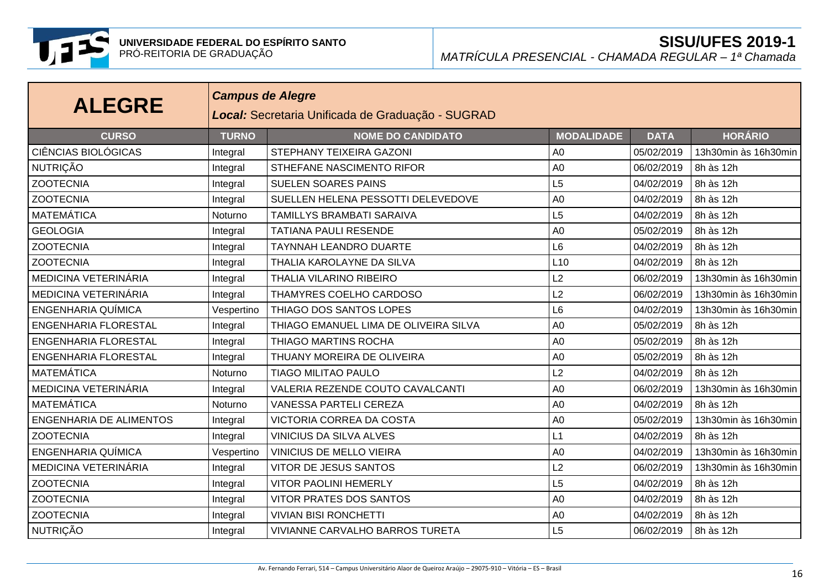

| <b>ALEGRE</b>                  | <b>Campus de Alegre</b><br>Local: Secretaria Unificada de Graduação - SUGRAD |                                       |                   |             |                      |  |
|--------------------------------|------------------------------------------------------------------------------|---------------------------------------|-------------------|-------------|----------------------|--|
| <b>CURSO</b>                   | <b>TURNO</b>                                                                 | <b>NOME DO CANDIDATO</b>              | <b>MODALIDADE</b> | <b>DATA</b> | <b>HORÁRIO</b>       |  |
| <b>CIÊNCIAS BIOLÓGICAS</b>     | Integral                                                                     | STEPHANY TEIXEIRA GAZONI              | A <sub>0</sub>    | 05/02/2019  | 13h30min às 16h30min |  |
| <b>NUTRIÇÃO</b>                | Integral                                                                     | STHEFANE NASCIMENTO RIFOR             | A <sub>0</sub>    | 06/02/2019  | 8h às 12h            |  |
| <b>ZOOTECNIA</b>               | Integral                                                                     | <b>SUELEN SOARES PAINS</b>            | L5                | 04/02/2019  | 8h às 12h            |  |
| <b>ZOOTECNIA</b>               | Integral                                                                     | SUELLEN HELENA PESSOTTI DELEVEDOVE    | A <sub>0</sub>    | 04/02/2019  | 8h às 12h            |  |
| <b>MATEMÁTICA</b>              | Noturno                                                                      | TAMILLYS BRAMBATI SARAIVA             | L5                | 04/02/2019  | 8h às 12h            |  |
| <b>GEOLOGIA</b>                | Integral                                                                     | <b>TATIANA PAULI RESENDE</b>          | A <sub>0</sub>    | 05/02/2019  | 8h às 12h            |  |
| <b>ZOOTECNIA</b>               | Integral                                                                     | <b>TAYNNAH LEANDRO DUARTE</b>         | L <sub>6</sub>    | 04/02/2019  | 8h às 12h            |  |
| <b>ZOOTECNIA</b>               | Integral                                                                     | THALIA KAROLAYNE DA SILVA             | L10               | 04/02/2019  | 8h às 12h            |  |
| MEDICINA VETERINÁRIA           | Integral                                                                     | <b>THALIA VILARINO RIBEIRO</b>        | L2                | 06/02/2019  | 13h30min às 16h30min |  |
| MEDICINA VETERINÁRIA           | Integral                                                                     | THAMYRES COELHO CARDOSO               | L <sub>2</sub>    | 06/02/2019  | 13h30min às 16h30min |  |
| ENGENHARIA QUÍMICA             | Vespertino                                                                   | THIAGO DOS SANTOS LOPES               | L <sub>6</sub>    | 04/02/2019  | 13h30min às 16h30min |  |
| <b>ENGENHARIA FLORESTAL</b>    | Integral                                                                     | THIAGO EMANUEL LIMA DE OLIVEIRA SILVA | A <sub>0</sub>    | 05/02/2019  | 8h às 12h            |  |
| <b>ENGENHARIA FLORESTAL</b>    | Integral                                                                     | THIAGO MARTINS ROCHA                  | A <sub>0</sub>    | 05/02/2019  | 8h às 12h            |  |
| ENGENHARIA FLORESTAL           | Integral                                                                     | THUANY MOREIRA DE OLIVEIRA            | A <sub>0</sub>    | 05/02/2019  | 8h às 12h            |  |
| <b>MATEMÁTICA</b>              | Noturno                                                                      | <b>TIAGO MILITAO PAULO</b>            | L2                | 04/02/2019  | 8h às 12h            |  |
| MEDICINA VETERINÁRIA           | Integral                                                                     | VALERIA REZENDE COUTO CAVALCANTI      | A <sub>0</sub>    | 06/02/2019  | 13h30min às 16h30min |  |
| <b>MATEMÁTICA</b>              | Noturno                                                                      | VANESSA PARTELI CEREZA                | A <sub>0</sub>    | 04/02/2019  | 8h às 12h            |  |
| <b>ENGENHARIA DE ALIMENTOS</b> | Integral                                                                     | VICTORIA CORREA DA COSTA              | A <sub>0</sub>    | 05/02/2019  | 13h30min às 16h30min |  |
| <b>ZOOTECNIA</b>               | Integral                                                                     | <b>VINICIUS DA SILVA ALVES</b>        | L1                | 04/02/2019  | 8h às 12h            |  |
| ENGENHARIA QUÍMICA             | Vespertino                                                                   | <b>VINICIUS DE MELLO VIEIRA</b>       | A <sub>0</sub>    | 04/02/2019  | 13h30min às 16h30min |  |
| MEDICINA VETERINÁRIA           | Integral                                                                     | VITOR DE JESUS SANTOS                 | L2                | 06/02/2019  | 13h30min às 16h30min |  |
| <b>ZOOTECNIA</b>               | Integral                                                                     | <b>VITOR PAOLINI HEMERLY</b>          | L5                | 04/02/2019  | 8h às 12h            |  |
| <b>ZOOTECNIA</b>               | Integral                                                                     | <b>VITOR PRATES DOS SANTOS</b>        | A <sub>0</sub>    | 04/02/2019  | 8h às 12h            |  |
| <b>ZOOTECNIA</b>               | Integral                                                                     | <b>VIVIAN BISI RONCHETTI</b>          | A <sub>0</sub>    | 04/02/2019  | 8h às 12h            |  |
| <b>NUTRIÇÃO</b>                | Integral                                                                     | VIVIANNE CARVALHO BARROS TURETA       | L5                | 06/02/2019  | 8h às 12h            |  |